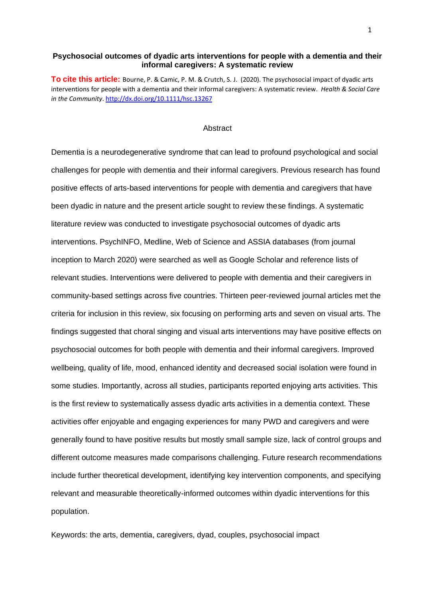# **Psychosocial outcomes of dyadic arts interventions for people with a dementia and their informal caregivers: A systematic review**

**To cite this article:** Bourne, P. & Camic, P. M. & Crutch, S. J. (2020). The psychosocial impact of dyadic arts interventions for people with a dementia and their informal caregivers: A systematic review. *Health & Social Care in the Community*. <http://dx.doi.org/10.1111/hsc.13267>

## **Abstract**

Dementia is a neurodegenerative syndrome that can lead to profound psychological and social challenges for people with dementia and their informal caregivers. Previous research has found positive effects of arts-based interventions for people with dementia and caregivers that have been dyadic in nature and the present article sought to review these findings. A systematic literature review was conducted to investigate psychosocial outcomes of dyadic arts interventions. PsychINFO, Medline, Web of Science and ASSIA databases (from journal inception to March 2020) were searched as well as Google Scholar and reference lists of relevant studies. Interventions were delivered to people with dementia and their caregivers in community-based settings across five countries. Thirteen peer-reviewed journal articles met the criteria for inclusion in this review, six focusing on performing arts and seven on visual arts. The findings suggested that choral singing and visual arts interventions may have positive effects on psychosocial outcomes for both people with dementia and their informal caregivers. Improved wellbeing, quality of life, mood, enhanced identity and decreased social isolation were found in some studies. Importantly, across all studies, participants reported enjoying arts activities. This is the first review to systematically assess dyadic arts activities in a dementia context. These activities offer enjoyable and engaging experiences for many PWD and caregivers and were generally found to have positive results but mostly small sample size, lack of control groups and different outcome measures made comparisons challenging. Future research recommendations include further theoretical development, identifying key intervention components, and specifying relevant and measurable theoretically-informed outcomes within dyadic interventions for this population.

Keywords: the arts, dementia, caregivers, dyad, couples, psychosocial impact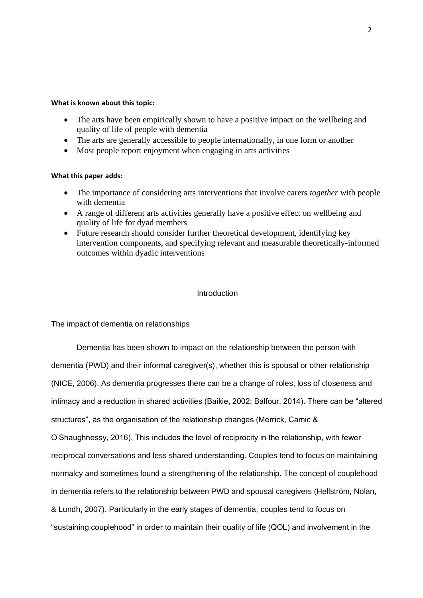## **What is known about this topic:**

- The arts have been empirically shown to have a positive impact on the wellbeing and quality of life of people with dementia
- The arts are generally accessible to people internationally, in one form or another
- Most people report enjoyment when engaging in arts activities

# **What this paper adds:**

- The importance of considering arts interventions that involve carers *together* with people with dementia
- A range of different arts activities generally have a positive effect on wellbeing and quality of life for dyad members
- Future research should consider further theoretical development, identifying key intervention components, and specifying relevant and measurable theoretically-informed outcomes within dyadic interventions

# Introduction

The impact of dementia on relationships

Dementia has been shown to impact on the relationship between the person with dementia (PWD) and their informal caregiver(s), whether this is spousal or other relationship (NICE, 2006). As dementia progresses there can be a change of roles, loss of closeness and intimacy and a reduction in shared activities (Baikie, 2002; Balfour, 2014). There can be "altered structures", as the organisation of the relationship changes (Merrick, Camic & O'Shaughnessy, 2016). This includes the level of reciprocity in the relationship, with fewer reciprocal conversations and less shared understanding. Couples tend to focus on maintaining normalcy and sometimes found a strengthening of the relationship. The concept of couplehood in dementia refers to the relationship between PWD and spousal caregivers (Hellström, Nolan, & Lundh, 2007). Particularly in the early stages of dementia, couples tend to focus on "sustaining couplehood" in order to maintain their quality of life (QOL) and involvement in the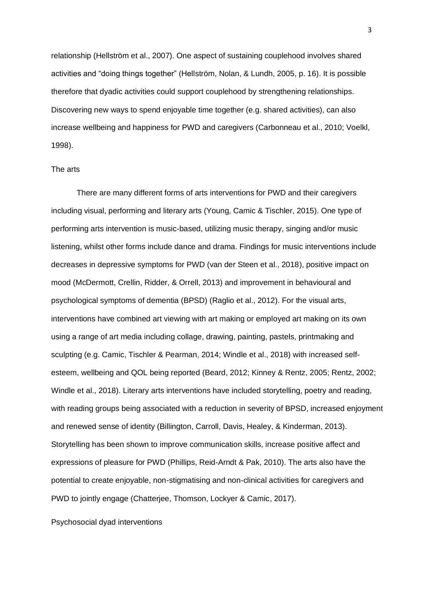relationship (Hellström et al., 2007). One aspect of sustaining couplehood involves shared activities and "doing things together" (Hellström, Nolan, & Lundh, 2005, p. 16). It is possible therefore that dyadic activities could support couplehood by strengthening relationships. Discovering new ways to spend enjoyable time together (e.g. shared activities), can also increase wellbeing and happiness for PWD and caregivers (Carbonneau et al., 2010; Voelkl, 1998).

## The arts

There are many different forms of arts interventions for PWD and their caregivers including visual, performing and literary arts (Young, Camic & Tischler, 2015). One type of performing arts intervention is music-based, utilizing music therapy, singing and/or music listening, whilst other forms include dance and drama. Findings for music interventions include decreases in depressive symptoms for PWD (van der Steen et al., 2018), positive impact on mood (McDermott, Crellin, Ridder, & Orrell, 2013) and improvement in behavioural and psychological symptoms of dementia (BPSD) (Raglio et al., 2012). For the visual arts, interventions have combined art viewing with art making or employed art making on its own using a range of art media including collage, drawing, painting, pastels, printmaking and sculpting (e.g. Camic, Tischler & Pearman, 2014; Windle et al., 2018) with increased selfesteem, wellbeing and QOL being reported (Beard, 2012; Kinney & Rentz, 2005; Rentz, 2002; Windle et al., 2018). Literary arts interventions have included storytelling, poetry and reading, with reading groups being associated with a reduction in severity of BPSD, increased enjoyment and renewed sense of identity (Billington, Carroll, Davis, Healey, & Kinderman, 2013). Storytelling has been shown to improve communication skills, increase positive affect and expressions of pleasure for PWD (Phillips, Reid-Arndt & Pak, 2010). The arts also have the potential to create enjoyable, non-stigmatising and non-clinical activities for caregivers and PWD to jointly engage (Chatterjee, Thomson, Lockyer & Camic, 2017).

Psychosocial dyad interventions

3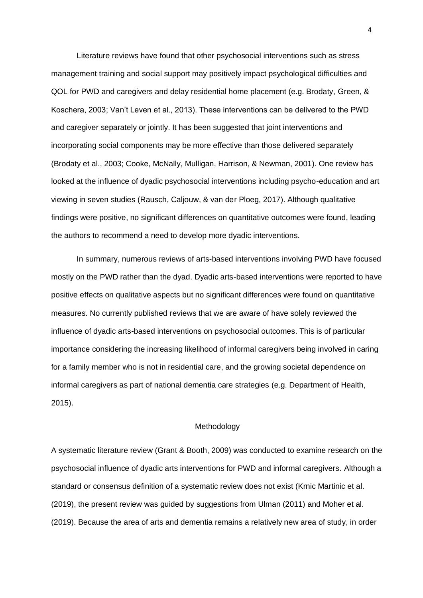Literature reviews have found that other psychosocial interventions such as stress management training and social support may positively impact psychological difficulties and QOL for PWD and caregivers and delay residential home placement (e.g. Brodaty, Green, & Koschera, 2003; Van't Leven et al., 2013). These interventions can be delivered to the PWD and caregiver separately or jointly. It has been suggested that joint interventions and incorporating social components may be more effective than those delivered separately (Brodaty et al., 2003; Cooke, McNally, Mulligan, Harrison, & Newman, 2001). One review has looked at the influence of dyadic psychosocial interventions including psycho-education and art viewing in seven studies (Rausch, Caljouw, & van der Ploeg, 2017). Although qualitative findings were positive, no significant differences on quantitative outcomes were found, leading the authors to recommend a need to develop more dyadic interventions.

In summary, numerous reviews of arts-based interventions involving PWD have focused mostly on the PWD rather than the dyad. Dyadic arts-based interventions were reported to have positive effects on qualitative aspects but no significant differences were found on quantitative measures. No currently published reviews that we are aware of have solely reviewed the influence of dyadic arts-based interventions on psychosocial outcomes. This is of particular importance considering the increasing likelihood of informal caregivers being involved in caring for a family member who is not in residential care, and the growing societal dependence on informal caregivers as part of national dementia care strategies (e.g. Department of Health, 2015).

### **Methodology**

A systematic literature review (Grant & Booth, 2009) was conducted to examine research on the psychosocial influence of dyadic arts interventions for PWD and informal caregivers. Although a standard or consensus definition of a systematic review does not exist (Krnic Martinic et al. (2019), the present review was guided by suggestions from Ulman (2011) and Moher et al. (2019). Because the area of arts and dementia remains a relatively new area of study, in order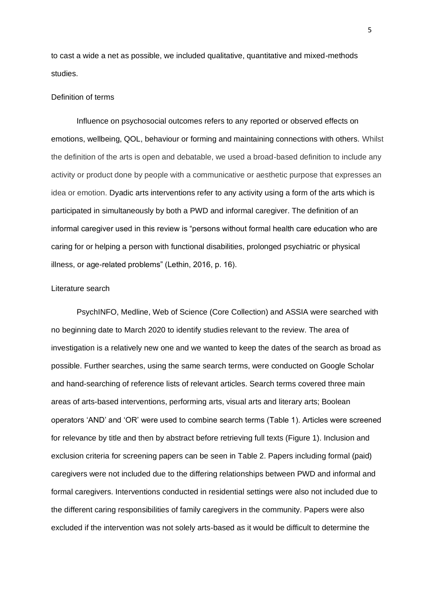to cast a wide a net as possible, we included qualitative, quantitative and mixed-methods studies.

## Definition of terms

Influence on psychosocial outcomes refers to any reported or observed effects on emotions, wellbeing, QOL, behaviour or forming and maintaining connections with others. Whilst the definition of the arts is open and debatable, we used a broad-based definition to include any activity or product done by people with a communicative or aesthetic purpose that expresses an idea or emotion. Dyadic arts interventions refer to any activity using a form of the arts which is participated in simultaneously by both a PWD and informal caregiver. The definition of an informal caregiver used in this review is "persons without formal health care education who are caring for or helping a person with functional disabilities, prolonged psychiatric or physical illness, or age-related problems" (Lethin, 2016, p. 16).

### Literature search

PsychINFO, Medline, Web of Science (Core Collection) and ASSIA were searched with no beginning date to March 2020 to identify studies relevant to the review. The area of investigation is a relatively new one and we wanted to keep the dates of the search as broad as possible. Further searches, using the same search terms, were conducted on Google Scholar and hand-searching of reference lists of relevant articles. Search terms covered three main areas of arts-based interventions, performing arts, visual arts and literary arts; Boolean operators 'AND' and 'OR' were used to combine search terms (Table 1). Articles were screened for relevance by title and then by abstract before retrieving full texts (Figure 1). Inclusion and exclusion criteria for screening papers can be seen in Table 2. Papers including formal (paid) caregivers were not included due to the differing relationships between PWD and informal and formal caregivers. Interventions conducted in residential settings were also not included due to the different caring responsibilities of family caregivers in the community. Papers were also excluded if the intervention was not solely arts-based as it would be difficult to determine the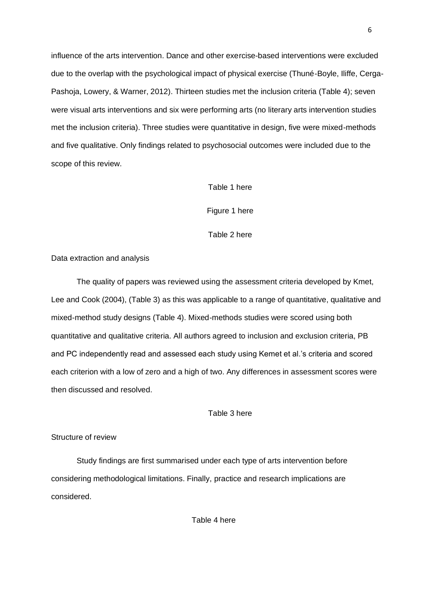influence of the arts intervention. Dance and other exercise-based interventions were excluded due to the overlap with the psychological impact of physical exercise (Thuné-Boyle, Iliffe, Cerga-Pashoja, Lowery, & Warner, 2012). Thirteen studies met the inclusion criteria (Table 4); seven were visual arts interventions and six were performing arts (no literary arts intervention studies met the inclusion criteria). Three studies were quantitative in design, five were mixed-methods and five qualitative. Only findings related to psychosocial outcomes were included due to the scope of this review.

# Table 1 here

Figure 1 here

Table 2 here

Data extraction and analysis

The quality of papers was reviewed using the assessment criteria developed by Kmet, Lee and Cook (2004), (Table 3) as this was applicable to a range of quantitative, qualitative and mixed-method study designs (Table 4). Mixed-methods studies were scored using both quantitative and qualitative criteria. All authors agreed to inclusion and exclusion criteria, PB and PC independently read and assessed each study using Kemet et al.'s criteria and scored each criterion with a low of zero and a high of two. Any differences in assessment scores were then discussed and resolved.

Table 3 here

# Structure of review

Study findings are first summarised under each type of arts intervention before considering methodological limitations. Finally, practice and research implications are considered.

Table 4 here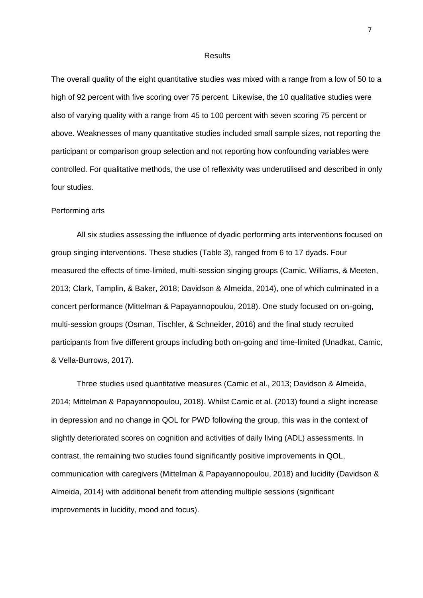#### Results

The overall quality of the eight quantitative studies was mixed with a range from a low of 50 to a high of 92 percent with five scoring over 75 percent. Likewise, the 10 qualitative studies were also of varying quality with a range from 45 to 100 percent with seven scoring 75 percent or above. Weaknesses of many quantitative studies included small sample sizes, not reporting the participant or comparison group selection and not reporting how confounding variables were controlled. For qualitative methods, the use of reflexivity was underutilised and described in only four studies.

#### Performing arts

All six studies assessing the influence of dyadic performing arts interventions focused on group singing interventions. These studies (Table 3), ranged from 6 to 17 dyads. Four measured the effects of time-limited, multi-session singing groups (Camic, Williams, & Meeten, 2013; Clark, Tamplin, & Baker, 2018; Davidson & Almeida, 2014), one of which culminated in a concert performance (Mittelman & Papayannopoulou, 2018). One study focused on on-going, multi-session groups (Osman, Tischler, & Schneider, 2016) and the final study recruited participants from five different groups including both on-going and time-limited (Unadkat, Camic, & Vella-Burrows, 2017).

Three studies used quantitative measures (Camic et al., 2013; Davidson & Almeida, 2014; Mittelman & Papayannopoulou, 2018). Whilst Camic et al. (2013) found a slight increase in depression and no change in QOL for PWD following the group, this was in the context of slightly deteriorated scores on cognition and activities of daily living (ADL) assessments. In contrast, the remaining two studies found significantly positive improvements in QOL, communication with caregivers (Mittelman & Papayannopoulou, 2018) and lucidity (Davidson & Almeida, 2014) with additional benefit from attending multiple sessions (significant improvements in lucidity, mood and focus).

7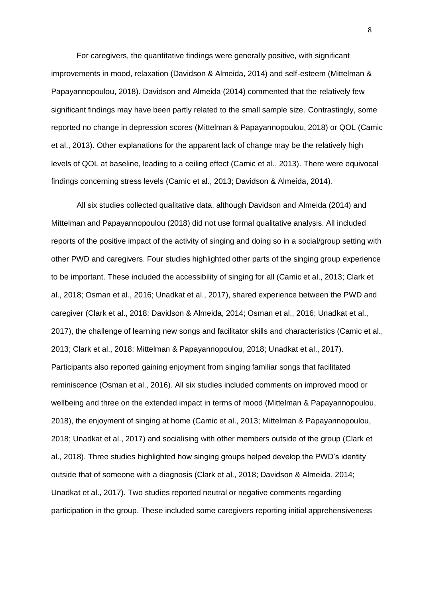For caregivers, the quantitative findings were generally positive, with significant improvements in mood, relaxation (Davidson & Almeida, 2014) and self-esteem (Mittelman & Papayannopoulou, 2018). Davidson and Almeida (2014) commented that the relatively few significant findings may have been partly related to the small sample size. Contrastingly, some reported no change in depression scores (Mittelman & Papayannopoulou, 2018) or QOL (Camic et al., 2013). Other explanations for the apparent lack of change may be the relatively high levels of QOL at baseline, leading to a ceiling effect (Camic et al., 2013). There were equivocal findings concerning stress levels (Camic et al., 2013; Davidson & Almeida, 2014).

All six studies collected qualitative data, although Davidson and Almeida (2014) and Mittelman and Papayannopoulou (2018) did not use formal qualitative analysis. All included reports of the positive impact of the activity of singing and doing so in a social/group setting with other PWD and caregivers. Four studies highlighted other parts of the singing group experience to be important. These included the accessibility of singing for all (Camic et al., 2013; Clark et al., 2018; Osman et al., 2016; Unadkat et al., 2017), shared experience between the PWD and caregiver (Clark et al., 2018; Davidson & Almeida, 2014; Osman et al., 2016; Unadkat et al., 2017), the challenge of learning new songs and facilitator skills and characteristics (Camic et al., 2013; Clark et al., 2018; Mittelman & Papayannopoulou, 2018; Unadkat et al., 2017). Participants also reported gaining enjoyment from singing familiar songs that facilitated reminiscence (Osman et al., 2016). All six studies included comments on improved mood or wellbeing and three on the extended impact in terms of mood (Mittelman & Papayannopoulou, 2018), the enjoyment of singing at home (Camic et al., 2013; Mittelman & Papayannopoulou, 2018; Unadkat et al., 2017) and socialising with other members outside of the group (Clark et al., 2018). Three studies highlighted how singing groups helped develop the PWD's identity outside that of someone with a diagnosis (Clark et al., 2018; Davidson & Almeida, 2014; Unadkat et al., 2017). Two studies reported neutral or negative comments regarding participation in the group. These included some caregivers reporting initial apprehensiveness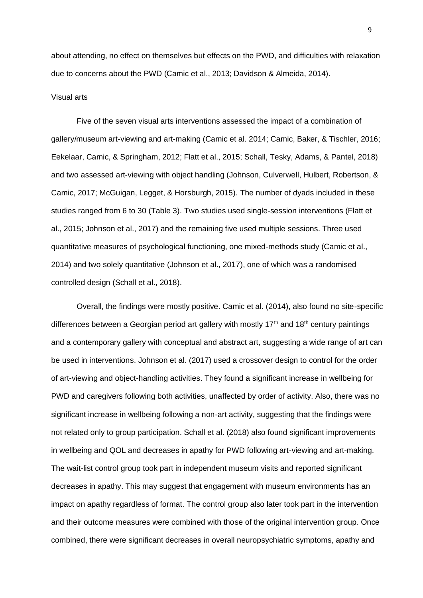about attending, no effect on themselves but effects on the PWD, and difficulties with relaxation due to concerns about the PWD (Camic et al., 2013; Davidson & Almeida, 2014).

## Visual arts

Five of the seven visual arts interventions assessed the impact of a combination of gallery/museum art-viewing and art-making (Camic et al. 2014; Camic, Baker, & Tischler, 2016; Eekelaar, Camic, & Springham, 2012; Flatt et al., 2015; Schall, Tesky, Adams, & Pantel, 2018) and two assessed art-viewing with object handling (Johnson, Culverwell, Hulbert, Robertson, & Camic, 2017; McGuigan, Legget, & Horsburgh, 2015). The number of dyads included in these studies ranged from 6 to 30 (Table 3). Two studies used single-session interventions (Flatt et al., 2015; Johnson et al., 2017) and the remaining five used multiple sessions. Three used quantitative measures of psychological functioning, one mixed-methods study (Camic et al., 2014) and two solely quantitative (Johnson et al., 2017), one of which was a randomised controlled design (Schall et al., 2018).

Overall, the findings were mostly positive. Camic et al. (2014), also found no site-specific differences between a Georgian period art gallery with mostly 17<sup>th</sup> and 18<sup>th</sup> century paintings and a contemporary gallery with conceptual and abstract art, suggesting a wide range of art can be used in interventions. Johnson et al. (2017) used a crossover design to control for the order of art-viewing and object-handling activities. They found a significant increase in wellbeing for PWD and caregivers following both activities, unaffected by order of activity. Also, there was no significant increase in wellbeing following a non-art activity, suggesting that the findings were not related only to group participation. Schall et al. (2018) also found significant improvements in wellbeing and QOL and decreases in apathy for PWD following art-viewing and art-making. The wait-list control group took part in independent museum visits and reported significant decreases in apathy. This may suggest that engagement with museum environments has an impact on apathy regardless of format. The control group also later took part in the intervention and their outcome measures were combined with those of the original intervention group. Once combined, there were significant decreases in overall neuropsychiatric symptoms, apathy and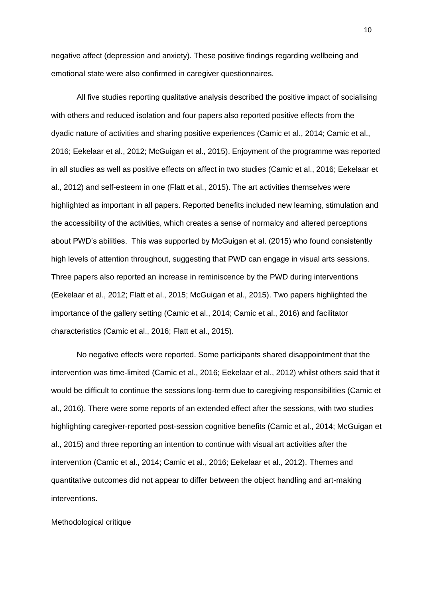negative affect (depression and anxiety). These positive findings regarding wellbeing and emotional state were also confirmed in caregiver questionnaires.

All five studies reporting qualitative analysis described the positive impact of socialising with others and reduced isolation and four papers also reported positive effects from the dyadic nature of activities and sharing positive experiences (Camic et al., 2014; Camic et al., 2016; Eekelaar et al., 2012; McGuigan et al., 2015). Enjoyment of the programme was reported in all studies as well as positive effects on affect in two studies (Camic et al., 2016; Eekelaar et al., 2012) and self-esteem in one (Flatt et al., 2015). The art activities themselves were highlighted as important in all papers. Reported benefits included new learning, stimulation and the accessibility of the activities, which creates a sense of normalcy and altered perceptions about PWD's abilities. This was supported by McGuigan et al. (2015) who found consistently high levels of attention throughout, suggesting that PWD can engage in visual arts sessions. Three papers also reported an increase in reminiscence by the PWD during interventions (Eekelaar et al., 2012; Flatt et al., 2015; McGuigan et al., 2015). Two papers highlighted the importance of the gallery setting (Camic et al., 2014; Camic et al., 2016) and facilitator characteristics (Camic et al., 2016; Flatt et al., 2015).

No negative effects were reported. Some participants shared disappointment that the intervention was time-limited (Camic et al., 2016; Eekelaar et al., 2012) whilst others said that it would be difficult to continue the sessions long-term due to caregiving responsibilities (Camic et al., 2016). There were some reports of an extended effect after the sessions, with two studies highlighting caregiver-reported post-session cognitive benefits (Camic et al., 2014; McGuigan et al., 2015) and three reporting an intention to continue with visual art activities after the intervention (Camic et al., 2014; Camic et al., 2016; Eekelaar et al., 2012). Themes and quantitative outcomes did not appear to differ between the object handling and art-making interventions.

Methodological critique

10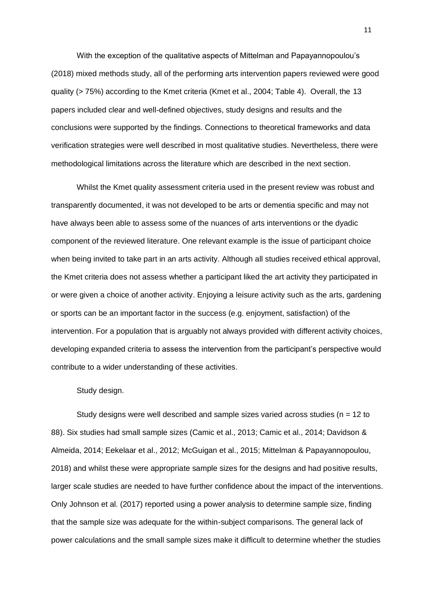With the exception of the qualitative aspects of Mittelman and Papayannopoulou's (2018) mixed methods study, all of the performing arts intervention papers reviewed were good quality (> 75%) according to the Kmet criteria (Kmet et al., 2004; Table 4). Overall, the 13 papers included clear and well-defined objectives, study designs and results and the conclusions were supported by the findings. Connections to theoretical frameworks and data verification strategies were well described in most qualitative studies. Nevertheless, there were methodological limitations across the literature which are described in the next section.

Whilst the Kmet quality assessment criteria used in the present review was robust and transparently documented, it was not developed to be arts or dementia specific and may not have always been able to assess some of the nuances of arts interventions or the dyadic component of the reviewed literature. One relevant example is the issue of participant choice when being invited to take part in an arts activity. Although all studies received ethical approval, the Kmet criteria does not assess whether a participant liked the art activity they participated in or were given a choice of another activity. Enjoying a leisure activity such as the arts, gardening or sports can be an important factor in the success (e.g. enjoyment, satisfaction) of the intervention. For a population that is arguably not always provided with different activity choices, developing expanded criteria to assess the intervention from the participant's perspective would contribute to a wider understanding of these activities.

Study design.

Study designs were well described and sample sizes varied across studies ( $n = 12$  to 88). Six studies had small sample sizes (Camic et al., 2013; Camic et al., 2014; Davidson & Almeida, 2014; Eekelaar et al., 2012; McGuigan et al., 2015; Mittelman & Papayannopoulou, 2018) and whilst these were appropriate sample sizes for the designs and had positive results, larger scale studies are needed to have further confidence about the impact of the interventions. Only Johnson et al. (2017) reported using a power analysis to determine sample size, finding that the sample size was adequate for the within-subject comparisons. The general lack of power calculations and the small sample sizes make it difficult to determine whether the studies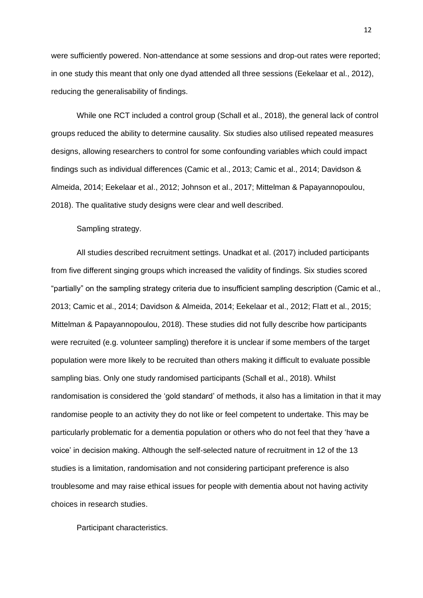were sufficiently powered. Non-attendance at some sessions and drop-out rates were reported; in one study this meant that only one dyad attended all three sessions (Eekelaar et al., 2012), reducing the generalisability of findings.

While one RCT included a control group (Schall et al., 2018), the general lack of control groups reduced the ability to determine causality. Six studies also utilised repeated measures designs, allowing researchers to control for some confounding variables which could impact findings such as individual differences (Camic et al., 2013; Camic et al., 2014; Davidson & Almeida, 2014; Eekelaar et al., 2012; Johnson et al., 2017; Mittelman & Papayannopoulou, 2018). The qualitative study designs were clear and well described.

# Sampling strategy.

All studies described recruitment settings. Unadkat et al. (2017) included participants from five different singing groups which increased the validity of findings. Six studies scored "partially" on the sampling strategy criteria due to insufficient sampling description (Camic et al., 2013; Camic et al., 2014; Davidson & Almeida, 2014; Eekelaar et al., 2012; Flatt et al., 2015; Mittelman & Papayannopoulou, 2018). These studies did not fully describe how participants were recruited (e.g. volunteer sampling) therefore it is unclear if some members of the target population were more likely to be recruited than others making it difficult to evaluate possible sampling bias. Only one study randomised participants (Schall et al., 2018). Whilst randomisation is considered the 'gold standard' of methods, it also has a limitation in that it may randomise people to an activity they do not like or feel competent to undertake. This may be particularly problematic for a dementia population or others who do not feel that they 'have a voice' in decision making. Although the self-selected nature of recruitment in 12 of the 13 studies is a limitation, randomisation and not considering participant preference is also troublesome and may raise ethical issues for people with dementia about not having activity choices in research studies.

Participant characteristics.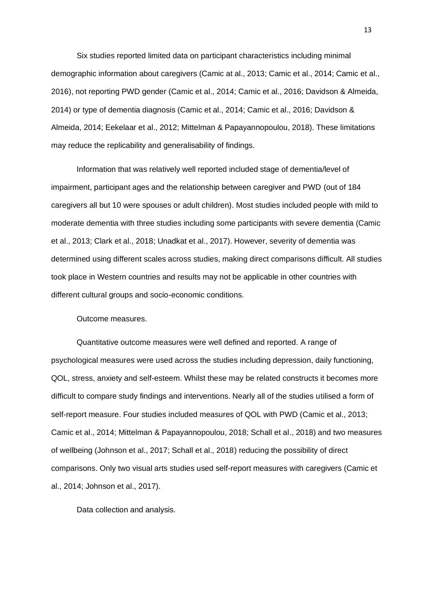Six studies reported limited data on participant characteristics including minimal demographic information about caregivers (Camic at al., 2013; Camic et al., 2014; Camic et al., 2016), not reporting PWD gender (Camic et al., 2014; Camic et al., 2016; Davidson & Almeida, 2014) or type of dementia diagnosis (Camic et al., 2014; Camic et al., 2016; Davidson & Almeida, 2014; Eekelaar et al., 2012; Mittelman & Papayannopoulou, 2018). These limitations may reduce the replicability and generalisability of findings.

Information that was relatively well reported included stage of dementia/level of impairment, participant ages and the relationship between caregiver and PWD (out of 184 caregivers all but 10 were spouses or adult children). Most studies included people with mild to moderate dementia with three studies including some participants with severe dementia (Camic et al., 2013; Clark et al., 2018; Unadkat et al., 2017). However, severity of dementia was determined using different scales across studies, making direct comparisons difficult. All studies took place in Western countries and results may not be applicable in other countries with different cultural groups and socio-economic conditions.

Outcome measures.

Quantitative outcome measures were well defined and reported. A range of psychological measures were used across the studies including depression, daily functioning, QOL, stress, anxiety and self-esteem. Whilst these may be related constructs it becomes more difficult to compare study findings and interventions. Nearly all of the studies utilised a form of self-report measure. Four studies included measures of QOL with PWD (Camic et al., 2013; Camic et al., 2014; Mittelman & Papayannopoulou, 2018; Schall et al., 2018) and two measures of wellbeing (Johnson et al., 2017; Schall et al., 2018) reducing the possibility of direct comparisons. Only two visual arts studies used self-report measures with caregivers (Camic et al., 2014; Johnson et al., 2017).

Data collection and analysis.

13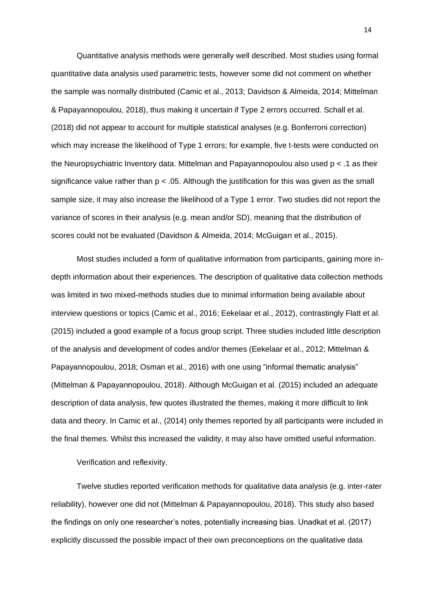Quantitative analysis methods were generally well described. Most studies using formal quantitative data analysis used parametric tests, however some did not comment on whether the sample was normally distributed (Camic et al., 2013; Davidson & Almeida, 2014; Mittelman & Papayannopoulou, 2018), thus making it uncertain if Type 2 errors occurred. Schall et al. (2018) did not appear to account for multiple statistical analyses (e.g. Bonferroni correction) which may increase the likelihood of Type 1 errors; for example, five t-tests were conducted on the Neuropsychiatric Inventory data. Mittelman and Papayannopoulou also used p < .1 as their significance value rather than  $p < 0.05$ . Although the justification for this was given as the small sample size, it may also increase the likelihood of a Type 1 error. Two studies did not report the variance of scores in their analysis (e.g. mean and/or SD), meaning that the distribution of scores could not be evaluated (Davidson & Almeida, 2014; McGuigan et al., 2015).

Most studies included a form of qualitative information from participants, gaining more indepth information about their experiences. The description of qualitative data collection methods was limited in two mixed-methods studies due to minimal information being available about interview questions or topics (Camic et al., 2016; Eekelaar et al., 2012), contrastingly Flatt et al. (2015) included a good example of a focus group script. Three studies included little description of the analysis and development of codes and/or themes (Eekelaar et al., 2012; Mittelman & Papayannopoulou, 2018; Osman et al., 2016) with one using "informal thematic analysis" (Mittelman & Papayannopoulou, 2018). Although McGuigan et al. (2015) included an adequate description of data analysis, few quotes illustrated the themes, making it more difficult to link data and theory. In Camic et al., (2014) only themes reported by all participants were included in the final themes. Whilst this increased the validity, it may also have omitted useful information.

Verification and reflexivity.

Twelve studies reported verification methods for qualitative data analysis (e.g. inter-rater reliability), however one did not (Mittelman & Papayannopoulou, 2018). This study also based the findings on only one researcher's notes, potentially increasing bias. Unadkat et al. (2017) explicitly discussed the possible impact of their own preconceptions on the qualitative data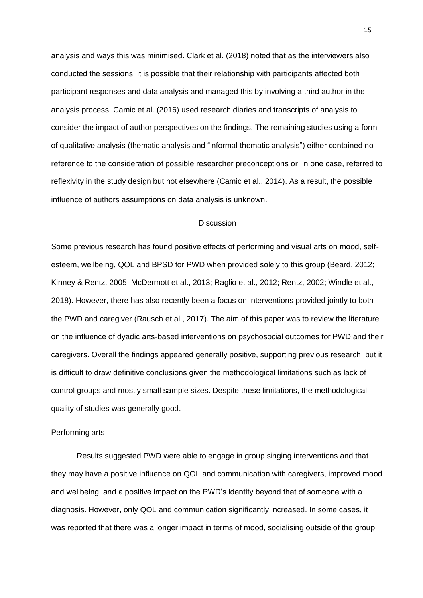analysis and ways this was minimised. Clark et al. (2018) noted that as the interviewers also conducted the sessions, it is possible that their relationship with participants affected both participant responses and data analysis and managed this by involving a third author in the analysis process. Camic et al. (2016) used research diaries and transcripts of analysis to consider the impact of author perspectives on the findings. The remaining studies using a form of qualitative analysis (thematic analysis and "informal thematic analysis") either contained no reference to the consideration of possible researcher preconceptions or, in one case, referred to reflexivity in the study design but not elsewhere (Camic et al., 2014). As a result, the possible influence of authors assumptions on data analysis is unknown.

## **Discussion**

Some previous research has found positive effects of performing and visual arts on mood, selfesteem, wellbeing, QOL and BPSD for PWD when provided solely to this group (Beard, 2012; Kinney & Rentz, 2005; McDermott et al., 2013; Raglio et al., 2012; Rentz, 2002; Windle et al., 2018). However, there has also recently been a focus on interventions provided jointly to both the PWD and caregiver (Rausch et al., 2017). The aim of this paper was to review the literature on the influence of dyadic arts-based interventions on psychosocial outcomes for PWD and their caregivers. Overall the findings appeared generally positive, supporting previous research, but it is difficult to draw definitive conclusions given the methodological limitations such as lack of control groups and mostly small sample sizes. Despite these limitations, the methodological quality of studies was generally good.

#### Performing arts

Results suggested PWD were able to engage in group singing interventions and that they may have a positive influence on QOL and communication with caregivers, improved mood and wellbeing, and a positive impact on the PWD's identity beyond that of someone with a diagnosis. However, only QOL and communication significantly increased. In some cases, it was reported that there was a longer impact in terms of mood, socialising outside of the group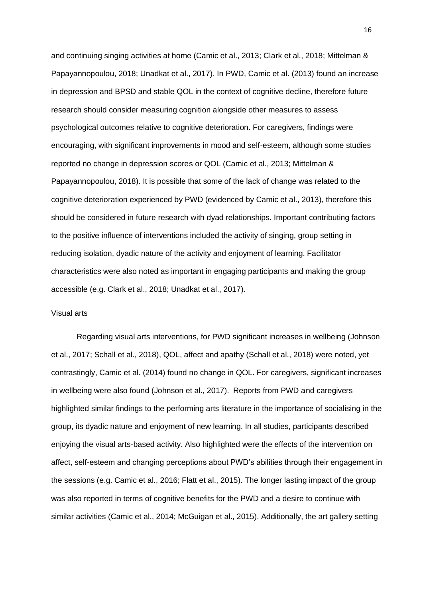and continuing singing activities at home (Camic et al., 2013; Clark et al., 2018; Mittelman & Papayannopoulou, 2018; Unadkat et al., 2017). In PWD, Camic et al. (2013) found an increase in depression and BPSD and stable QOL in the context of cognitive decline, therefore future research should consider measuring cognition alongside other measures to assess psychological outcomes relative to cognitive deterioration. For caregivers, findings were encouraging, with significant improvements in mood and self-esteem, although some studies reported no change in depression scores or QOL (Camic et al., 2013; Mittelman & Papayannopoulou, 2018). It is possible that some of the lack of change was related to the cognitive deterioration experienced by PWD (evidenced by Camic et al., 2013), therefore this should be considered in future research with dyad relationships. Important contributing factors to the positive influence of interventions included the activity of singing, group setting in reducing isolation, dyadic nature of the activity and enjoyment of learning. Facilitator characteristics were also noted as important in engaging participants and making the group accessible (e.g. Clark et al., 2018; Unadkat et al., 2017).

## Visual arts

Regarding visual arts interventions, for PWD significant increases in wellbeing (Johnson et al., 2017; Schall et al., 2018), QOL, affect and apathy (Schall et al., 2018) were noted, yet contrastingly, Camic et al. (2014) found no change in QOL. For caregivers, significant increases in wellbeing were also found (Johnson et al., 2017). Reports from PWD and caregivers highlighted similar findings to the performing arts literature in the importance of socialising in the group, its dyadic nature and enjoyment of new learning. In all studies, participants described enjoying the visual arts-based activity. Also highlighted were the effects of the intervention on affect, self-esteem and changing perceptions about PWD's abilities through their engagement in the sessions (e.g. Camic et al., 2016; Flatt et al., 2015). The longer lasting impact of the group was also reported in terms of cognitive benefits for the PWD and a desire to continue with similar activities (Camic et al., 2014; McGuigan et al., 2015). Additionally, the art gallery setting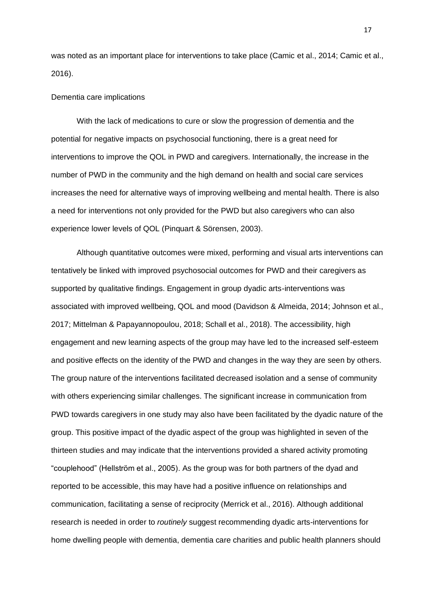was noted as an important place for interventions to take place (Camic et al., 2014; Camic et al., 2016).

### Dementia care implications

With the lack of medications to cure or slow the progression of dementia and the potential for negative impacts on psychosocial functioning, there is a great need for interventions to improve the QOL in PWD and caregivers. Internationally, the increase in the number of PWD in the community and the high demand on health and social care services increases the need for alternative ways of improving wellbeing and mental health. There is also a need for interventions not only provided for the PWD but also caregivers who can also experience lower levels of QOL (Pinquart & Sörensen, 2003).

Although quantitative outcomes were mixed, performing and visual arts interventions can tentatively be linked with improved psychosocial outcomes for PWD and their caregivers as supported by qualitative findings. Engagement in group dyadic arts-interventions was associated with improved wellbeing, QOL and mood (Davidson & Almeida, 2014; Johnson et al., 2017; Mittelman & Papayannopoulou, 2018; Schall et al., 2018). The accessibility, high engagement and new learning aspects of the group may have led to the increased self-esteem and positive effects on the identity of the PWD and changes in the way they are seen by others. The group nature of the interventions facilitated decreased isolation and a sense of community with others experiencing similar challenges. The significant increase in communication from PWD towards caregivers in one study may also have been facilitated by the dyadic nature of the group. This positive impact of the dyadic aspect of the group was highlighted in seven of the thirteen studies and may indicate that the interventions provided a shared activity promoting "couplehood" (Hellström et al., 2005). As the group was for both partners of the dyad and reported to be accessible, this may have had a positive influence on relationships and communication, facilitating a sense of reciprocity (Merrick et al., 2016). Although additional research is needed in order to *routinely* suggest recommending dyadic arts-interventions for home dwelling people with dementia, dementia care charities and public health planners should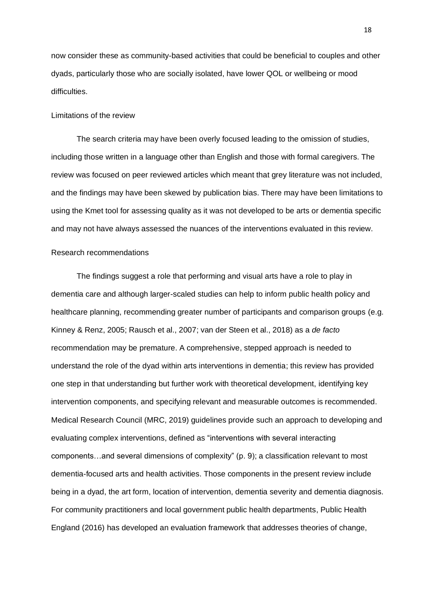now consider these as community-based activities that could be beneficial to couples and other dyads, particularly those who are socially isolated, have lower QOL or wellbeing or mood difficulties.

## Limitations of the review

The search criteria may have been overly focused leading to the omission of studies, including those written in a language other than English and those with formal caregivers. The review was focused on peer reviewed articles which meant that grey literature was not included, and the findings may have been skewed by publication bias. There may have been limitations to using the Kmet tool for assessing quality as it was not developed to be arts or dementia specific and may not have always assessed the nuances of the interventions evaluated in this review.

# Research recommendations

The findings suggest a role that performing and visual arts have a role to play in dementia care and although larger-scaled studies can help to inform public health policy and healthcare planning, recommending greater number of participants and comparison groups (e.g. Kinney & Renz, 2005; Rausch et al., 2007; van der Steen et al., 2018) as a *de facto* recommendation may be premature. A comprehensive, stepped approach is needed to understand the role of the dyad within arts interventions in dementia; this review has provided one step in that understanding but further work with theoretical development, identifying key intervention components, and specifying relevant and measurable outcomes is recommended. Medical Research Council (MRC, 2019) guidelines provide such an approach to developing and evaluating complex interventions, defined as "interventions with several interacting components…and several dimensions of complexity" (p. 9); a classification relevant to most dementia-focused arts and health activities. Those components in the present review include being in a dyad, the art form, location of intervention, dementia severity and dementia diagnosis. For community practitioners and local government public health departments, Public Health England (2016) has developed an evaluation framework that addresses theories of change,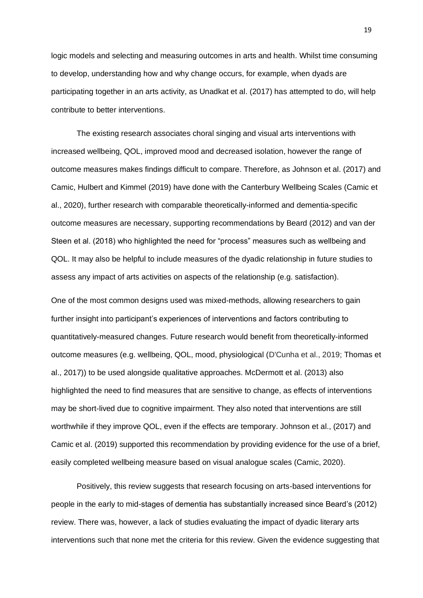logic models and selecting and measuring outcomes in arts and health. Whilst time consuming to develop, understanding how and why change occurs, for example, when dyads are participating together in an arts activity, as Unadkat et al. (2017) has attempted to do, will help contribute to better interventions.

The existing research associates choral singing and visual arts interventions with increased wellbeing, QOL, improved mood and decreased isolation, however the range of outcome measures makes findings difficult to compare. Therefore, as Johnson et al. (2017) and Camic, Hulbert and Kimmel (2019) have done with the Canterbury Wellbeing Scales (Camic et al., 2020), further research with comparable theoretically-informed and dementia-specific outcome measures are necessary, supporting recommendations by Beard (2012) and van der Steen et al. (2018) who highlighted the need for "process" measures such as wellbeing and QOL. It may also be helpful to include measures of the dyadic relationship in future studies to assess any impact of arts activities on aspects of the relationship (e.g. satisfaction).

One of the most common designs used was mixed-methods, allowing researchers to gain further insight into participant's experiences of interventions and factors contributing to quantitatively-measured changes. Future research would benefit from theoretically-informed outcome measures (e.g. wellbeing, QOL, mood, physiological (D'Cunha et al., 2019; Thomas et al., 2017)) to be used alongside qualitative approaches. McDermott et al. (2013) also highlighted the need to find measures that are sensitive to change, as effects of interventions may be short-lived due to cognitive impairment. They also noted that interventions are still worthwhile if they improve QOL, even if the effects are temporary. Johnson et al., (2017) and Camic et al. (2019) supported this recommendation by providing evidence for the use of a brief, easily completed wellbeing measure based on visual analogue scales (Camic, 2020).

Positively, this review suggests that research focusing on arts-based interventions for people in the early to mid-stages of dementia has substantially increased since Beard's (2012) review. There was, however, a lack of studies evaluating the impact of dyadic literary arts interventions such that none met the criteria for this review. Given the evidence suggesting that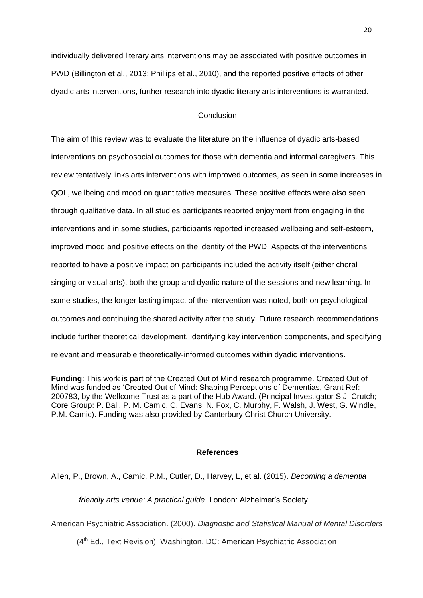individually delivered literary arts interventions may be associated with positive outcomes in PWD (Billington et al., 2013; Phillips et al., 2010), and the reported positive effects of other dyadic arts interventions, further research into dyadic literary arts interventions is warranted.

# **Conclusion**

The aim of this review was to evaluate the literature on the influence of dyadic arts-based interventions on psychosocial outcomes for those with dementia and informal caregivers. This review tentatively links arts interventions with improved outcomes, as seen in some increases in QOL, wellbeing and mood on quantitative measures. These positive effects were also seen through qualitative data. In all studies participants reported enjoyment from engaging in the interventions and in some studies, participants reported increased wellbeing and self-esteem, improved mood and positive effects on the identity of the PWD. Aspects of the interventions reported to have a positive impact on participants included the activity itself (either choral singing or visual arts), both the group and dyadic nature of the sessions and new learning. In some studies, the longer lasting impact of the intervention was noted, both on psychological outcomes and continuing the shared activity after the study. Future research recommendations include further theoretical development, identifying key intervention components, and specifying relevant and measurable theoretically-informed outcomes within dyadic interventions.

**Funding**: This work is part of the Created Out of Mind research programme. Created Out of Mind was funded as 'Created Out of Mind: Shaping Perceptions of Dementias, Grant Ref: 200783, by the Wellcome Trust as a part of the Hub Award. (Principal Investigator S.J. Crutch; Core Group: P. Ball, P. M. Camic, C. Evans, N. Fox, C. Murphy, F. Walsh, J. West, G. Windle, P.M. Camic). Funding was also provided by Canterbury Christ Church University.

### **References**

Allen, P., Brown, A., Camic, P.M., Cutler, D., Harvey, L, et al. (2015). *Becoming a dementia*

*friendly arts venue: A practical guide*. London: Alzheimer's Society.

American Psychiatric Association. (2000). *Diagnostic and Statistical Manual of Mental Disorders* 

(4<sup>th</sup> Ed., Text Revision). Washington, DC: American Psychiatric Association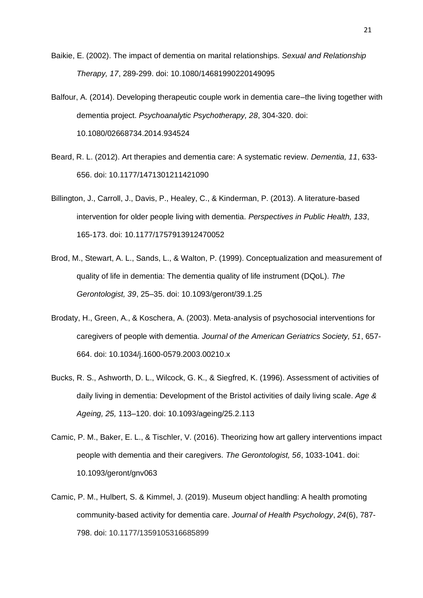- Baikie, E. (2002). The impact of dementia on marital relationships. *Sexual and Relationship Therapy, 17*, 289-299. doi: 10.1080/14681990220149095
- Balfour, A. (2014). Developing therapeutic couple work in dementia care–the living together with dementia project. *Psychoanalytic Psychotherapy, 28*, 304-320. doi: 10.1080/02668734.2014.934524
- Beard, R. L. (2012). Art therapies and dementia care: A systematic review. *Dementia, 11*, 633- 656. doi: 10.1177/1471301211421090
- Billington, J., Carroll, J., Davis, P., Healey, C., & Kinderman, P. (2013). A literature-based intervention for older people living with dementia. *Perspectives in Public Health, 133*, 165-173. doi: 10.1177/1757913912470052
- Brod, M., Stewart, A. L., Sands, L., & Walton, P. (1999). Conceptualization and measurement of quality of life in dementia: The dementia quality of life instrument (DQoL). *The Gerontologist, 39*, 25–35. doi: 10.1093/geront/39.1.25
- Brodaty, H., Green, A., & Koschera, A. (2003). Meta‐analysis of psychosocial interventions for caregivers of people with dementia. *Journal of the American Geriatrics Society, 51*, 657- 664. doi: 10.1034/j.1600-0579.2003.00210.x
- Bucks, R. S., Ashworth, D. L., Wilcock, G. K., & Siegfred, K. (1996). Assessment of activities of daily living in dementia: Development of the Bristol activities of daily living scale. *Age & Ageing, 25,* 113–120. doi: 10.1093/ageing/25.2.113
- Camic, P. M., Baker, E. L., & Tischler, V. (2016). Theorizing how art gallery interventions impact people with dementia and their caregivers. *The Gerontologist, 56*, 1033-1041. doi: 10.1093/geront/gnv063
- Camic, P. M., Hulbert, S. & Kimmel, J. (2019). Museum object handling: A health promoting community-based activity for dementia care. *Journal of Health Psychology*, *24*(6), 787- 798. doi: 10.1177/1359105316685899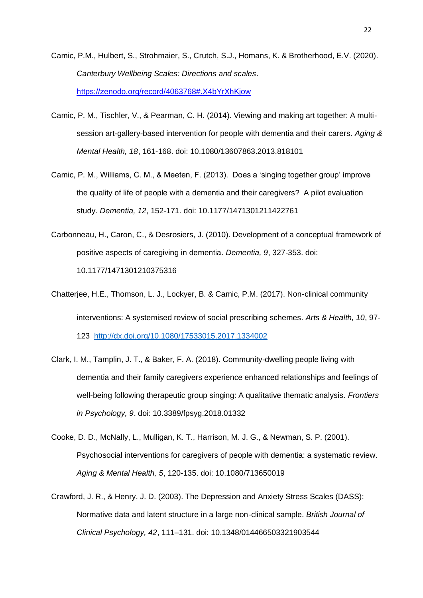- Camic, P.M., Hulbert, S., Strohmaier, S., Crutch, S.J., Homans, K. & Brotherhood, E.V. (2020). *Canterbury Wellbeing Scales: Directions and scales*. <https://zenodo.org/record/4063768#.X4bYrXhKjow>
- Camic, P. M., Tischler, V., & Pearman, C. H. (2014). Viewing and making art together: A multisession art-gallery-based intervention for people with dementia and their carers. *Aging & Mental Health, 18*, 161-168. doi: 10.1080/13607863.2013.818101
- Camic, P. M., Williams, C. M., & Meeten, F. (2013). Does a 'singing together group' improve the quality of life of people with a dementia and their caregivers? A pilot evaluation study. *Dementia, 12*, 152-171. doi: 10.1177/1471301211422761
- Carbonneau, H., Caron, C., & Desrosiers, J. (2010). Development of a conceptual framework of positive aspects of caregiving in dementia. *Dementia, 9*, 327-353. doi: 10.1177/1471301210375316
- Chatterjee, H.E., Thomson, L. J., Lockyer, B. & Camic, P.M. (2017). Non-clinical community interventions: A systemised review of social prescribing schemes. *Arts & Health, 10*, 97- 123 <http://dx.doi.org/10.1080/17533015.2017.1334002>
- Clark, I. M., Tamplin, J. T., & Baker, F. A. (2018). Community-dwelling people living with dementia and their family caregivers experience enhanced relationships and feelings of well-being following therapeutic group singing: A qualitative thematic analysis. *Frontiers in Psychology, 9*. doi: 10.3389/fpsyg.2018.01332
- Cooke, D. D., McNally, L., Mulligan, K. T., Harrison, M. J. G., & Newman, S. P. (2001). Psychosocial interventions for caregivers of people with dementia: a systematic review. *Aging & Mental Health, 5*, 120-135. doi: 10.1080/713650019
- Crawford, J. R., & Henry, J. D. (2003). The Depression and Anxiety Stress Scales (DASS): Normative data and latent structure in a large non-clinical sample. *British Journal of Clinical Psychology, 42*, 111–131. doi: 10.1348/014466503321903544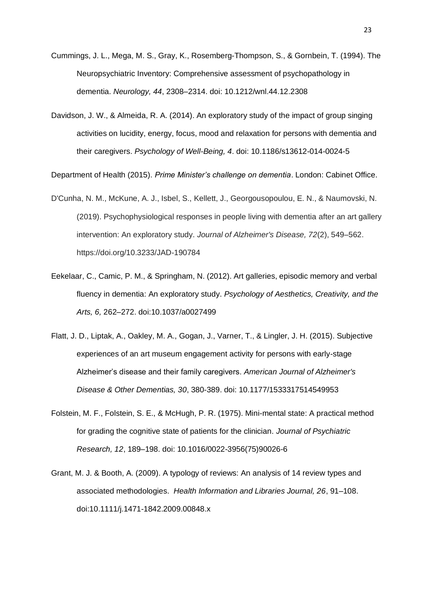- Cummings, J. L., Mega, M. S., Gray, K., Rosemberg-Thompson, S., & Gornbein, T. (1994). The Neuropsychiatric Inventory: Comprehensive assessment of psychopathology in dementia. *Neurology, 44*, 2308–2314. doi: 10.1212/wnl.44.12.2308
- Davidson, J. W., & Almeida, R. A. (2014). An exploratory study of the impact of group singing activities on lucidity, energy, focus, mood and relaxation for persons with dementia and their caregivers. *Psychology of Well-Being, 4*. doi: 10.1186/s13612-014-0024-5

Department of Health (2015). *Prime Minister's challenge on dementia*. London: Cabinet Office.

- D'Cunha, N. M., McKune, A. J., Isbel, S., Kellett, J., Georgousopoulou, E. N., & Naumovski, N. (2019). Psychophysiological responses in people living with dementia after an art gallery intervention: An exploratory study. *Journal of Alzheimer's Disease, 72*(2), 549–562. https://doi.org/10.3233/JAD-190784
- Eekelaar, C., Camic, P. M., & Springham, N. (2012). Art galleries, episodic memory and verbal fluency in dementia: An exploratory study. *Psychology of Aesthetics, Creativity, and the Arts, 6,* 262–272. doi:10.1037/a0027499
- Flatt, J. D., Liptak, A., Oakley, M. A., Gogan, J., Varner, T., & Lingler, J. H. (2015). Subjective experiences of an art museum engagement activity for persons with early-stage Alzheimer's disease and their family caregivers. *American Journal of Alzheimer's Disease & Other Dementias, 30*, 380-389. doi: 10.1177/1533317514549953
- Folstein, M. F., Folstein, S. E., & McHugh, P. R. (1975). Mini-mental state: A practical method for grading the cognitive state of patients for the clinician. *Journal of Psychiatric Research, 12*, 189–198. doi: 10.1016/0022-3956(75)90026-6
- Grant, M. J. & Booth, A. (2009). A typology of reviews: An analysis of 14 review types and associated methodologies. *Health Information and Libraries Journal, 26*, 91–108. doi:10.1111/j.1471-1842.2009.00848.x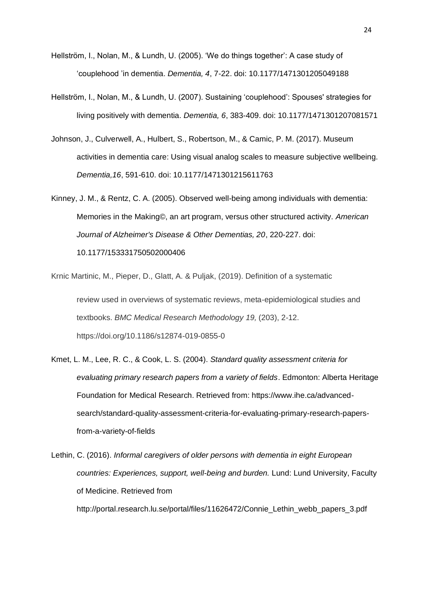- Hellström, I., Nolan, M., & Lundh, U. (2005). 'We do things together': A case study of 'couplehood 'in dementia. *Dementia, 4*, 7-22. doi: 10.1177/1471301205049188
- Hellström, I., Nolan, M., & Lundh, U. (2007). Sustaining 'couplehood': Spouses' strategies for living positively with dementia. *Dementia, 6*, 383-409. doi: 10.1177/1471301207081571
- Johnson, J., Culverwell, A., Hulbert, S., Robertson, M., & Camic, P. M. (2017). Museum activities in dementia care: Using visual analog scales to measure subjective wellbeing. *Dementia,16*, 591-610. doi: 10.1177/1471301215611763
- Kinney, J. M., & Rentz, C. A. (2005). Observed well-being among individuals with dementia: Memories in the Making©, an art program, versus other structured activity. *American Journal of Alzheimer's Disease & Other Dementias, 20*, 220-227. doi: 10.1177/153331750502000406
- Krnic Martinic, M., Pieper, D., Glatt, A. & Puljak, (2019). Definition of a systematic review used in overviews of systematic reviews, meta-epidemiological studies and textbooks. *BMC Medical Research Methodology 19,* (203), 2-12. https://doi.org/10.1186/s12874-019-0855-0
- Kmet, L. M., Lee, R. C., & Cook, L. S. (2004). *Standard quality assessment criteria for evaluating primary research papers from a variety of fields*. Edmonton: Alberta Heritage Foundation for Medical Research. Retrieved from: https://www.ihe.ca/advancedsearch/standard-quality-assessment-criteria-for-evaluating-primary-research-papersfrom-a-variety-of-fields
- Lethin, C. (2016). *Informal caregivers of older persons with dementia in eight European countries: Experiences, support, well-being and burden.* Lund: Lund University, Faculty of Medicine. Retrieved from http://portal.research.lu.se/portal/files/11626472/Connie\_Lethin\_webb\_papers\_3.pdf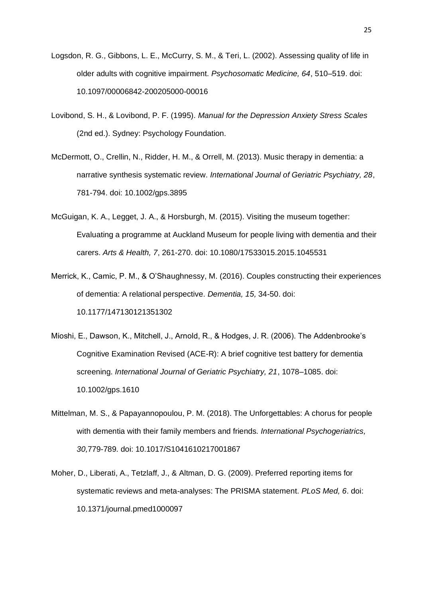- Logsdon, R. G., Gibbons, L. E., McCurry, S. M., & Teri, L. (2002). Assessing quality of life in older adults with cognitive impairment. *Psychosomatic Medicine, 64*, 510–519. doi: 10.1097/00006842-200205000-00016
- Lovibond, S. H., & Lovibond, P. F. (1995). *Manual for the Depression Anxiety Stress Scales* (2nd ed.). Sydney: Psychology Foundation.
- McDermott, O., Crellin, N., Ridder, H. M., & Orrell, M. (2013). Music therapy in dementia: a narrative synthesis systematic review. *International Journal of Geriatric Psychiatry, 28*, 781-794. doi: 10.1002/gps.3895
- McGuigan, K. A., Legget, J. A., & Horsburgh, M. (2015). Visiting the museum together: Evaluating a programme at Auckland Museum for people living with dementia and their carers. *Arts & Health, 7*, 261-270. doi: 10.1080/17533015.2015.1045531
- Merrick, K., Camic, P. M., & O'Shaughnessy, M. (2016). Couples constructing their experiences of dementia: A relational perspective. *Dementia, 15,* 34-50. doi: 10.1177/147130121351302
- Mioshi, E., Dawson, K., Mitchell, J., Arnold, R., & Hodges, J. R. (2006). The Addenbrooke's Cognitive Examination Revised (ACE-R): A brief cognitive test battery for dementia screening. *International Journal of Geriatric Psychiatry, 21*, 1078–1085. doi: 10.1002/gps.1610
- Mittelman, M. S., & Papayannopoulou, P. M. (2018). The Unforgettables: A chorus for people with dementia with their family members and friends. *International Psychogeriatrics, 30,*779-789*.* doi: 10.1017/S1041610217001867
- Moher, D., Liberati, A., Tetzlaff, J., & Altman, D. G. (2009). Preferred reporting items for systematic reviews and meta-analyses: The PRISMA statement. *PLoS Med, 6*. doi: 10.1371/journal.pmed1000097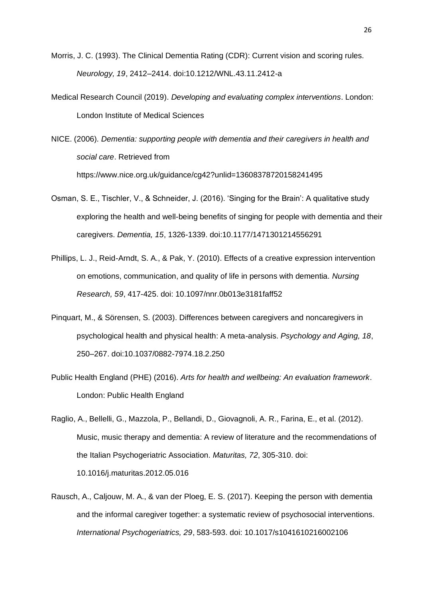- Morris, J. C. (1993). The Clinical Dementia Rating (CDR): Current vision and scoring rules. *Neurology, 19*, 2412–2414. doi:10.1212/WNL.43.11.2412-a
- Medical Research Council (2019). *Developing and evaluating complex interventions*. London: London Institute of Medical Sciences
- NICE. (2006)*. Dementia: supporting people with dementia and their caregivers in health and social care*. Retrieved from https://www.nice.org.uk/guidance/cg42?unlid=13608378720158241495
- Osman, S. E., Tischler, V., & Schneider, J. (2016). 'Singing for the Brain': A qualitative study exploring the health and well-being benefits of singing for people with dementia and their caregivers. *Dementia, 15*, 1326-1339. doi:10.1177/1471301214556291
- Phillips, L. J., Reid-Arndt, S. A., & Pak, Y. (2010). Effects of a creative expression intervention on emotions, communication, and quality of life in persons with dementia. *Nursing Research, 59*, 417-425. doi: 10.1097/nnr.0b013e3181faff52
- Pinquart, M., & Sörensen, S. (2003). Differences between caregivers and noncaregivers in psychological health and physical health: A meta-analysis. *Psychology and Aging, 18*, 250–267. doi:10.1037/0882-7974.18.2.250
- Public Health England (PHE) (2016). *Arts for health and wellbeing: An evaluation framework*. London: Public Health England
- Raglio, A., Bellelli, G., Mazzola, P., Bellandi, D., Giovagnoli, A. R., Farina, E., et al. (2012). Music, music therapy and dementia: A review of literature and the recommendations of the Italian Psychogeriatric Association. *Maturitas, 72*, 305-310. doi: 10.1016/j.maturitas.2012.05.016
- Rausch, A., Caljouw, M. A., & van der Ploeg, E. S. (2017). Keeping the person with dementia and the informal caregiver together: a systematic review of psychosocial interventions. *International Psychogeriatrics, 29*, 583-593. doi: 10.1017/s1041610216002106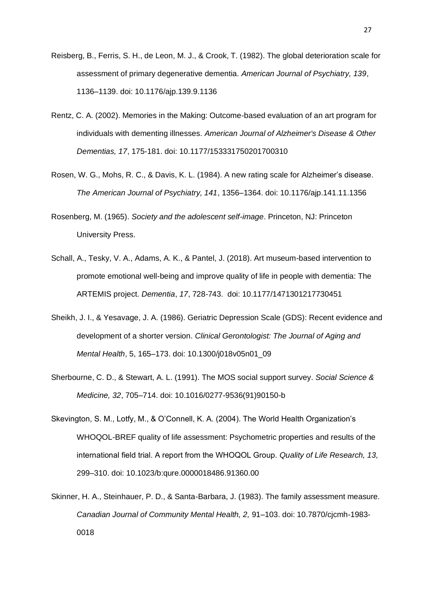- Reisberg, B., Ferris, S. H., de Leon, M. J., & Crook, T. (1982). The global deterioration scale for assessment of primary degenerative dementia. *American Journal of Psychiatry, 139*, 1136–1139. doi: 10.1176/ajp.139.9.1136
- Rentz, C. A. (2002). Memories in the Making: Outcome-based evaluation of an art program for individuals with dementing illnesses. *American Journal of Alzheimer's Disease & Other Dementias, 17*, 175-181. doi: 10.1177/153331750201700310
- Rosen, W. G., Mohs, R. C., & Davis, K. L. (1984). A new rating scale for Alzheimer's disease. *The American Journal of Psychiatry, 141*, 1356–1364. doi: 10.1176/ajp.141.11.1356
- Rosenberg, M. (1965). *Society and the adolescent self-image*. Princeton, NJ: Princeton University Press.
- Schall, A., Tesky, V. A., Adams, A. K., & Pantel, J. (2018). Art museum-based intervention to promote emotional well-being and improve quality of life in people with dementia: The ARTEMIS project. *Dementia*, *17*, 728-743. doi: 10.1177/1471301217730451
- Sheikh, J. I., & Yesavage, J. A. (1986). Geriatric Depression Scale (GDS): Recent evidence and development of a shorter version. *Clinical Gerontologist: The Journal of Aging and Mental Health*, 5, 165–173. doi: 10.1300/j018v05n01\_09
- Sherbourne, C. D., & Stewart, A. L. (1991). The MOS social support survey. *Social Science & Medicine, 32*, 705–714. doi: 10.1016/0277-9536(91)90150-b
- Skevington, S. M., Lotfy, M., & O'Connell, K. A. (2004). The World Health Organization's WHOQOL-BREF quality of life assessment: Psychometric properties and results of the international field trial. A report from the WHOQOL Group. *Quality of Life Research, 13,* 299–310. doi: 10.1023/b:qure.0000018486.91360.00
- Skinner, H. A., Steinhauer, P. D., & Santa-Barbara, J. (1983). The family assessment measure. *Canadian Journal of Community Mental Health, 2,* 91–103. doi: 10.7870/cjcmh-1983- 0018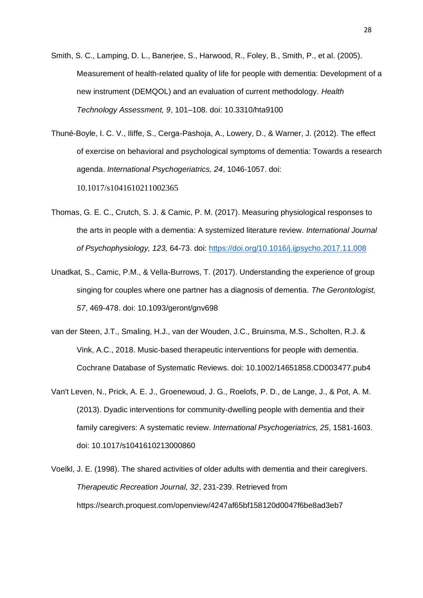Smith, S. C., Lamping, D. L., Banerjee, S., Harwood, R., Foley, B., Smith, P., et al. (2005). Measurement of health-related quality of life for people with dementia: Development of a new instrument (DEMQOL) and an evaluation of current methodology. *Health Technology Assessment, 9*, 101–108. doi: 10.3310/hta9100

Thuné-Boyle, I. C. V., Iliffe, S., Cerga-Pashoja, A., Lowery, D., & Warner, J. (2012). The effect of exercise on behavioral and psychological symptoms of dementia: Towards a research agenda. *International Psychogeriatrics, 24*, 1046-1057. doi: 10.1017/s1041610211002365

- Thomas, G. E. C., Crutch, S. J. & Camic, P. M. (2017). Measuring physiological responses to the arts in people with a dementia: A systemized literature review. *International Journal of Psychophysiology, 123,* 64-73. doi:<https://doi.org/10.1016/j.ijpsycho.2017.11.008>
- Unadkat, S., Camic, P.M., & Vella-Burrows, T. (2017). Understanding the experience of group singing for couples where one partner has a diagnosis of dementia. *The Gerontologist, 57*, 469-478. doi: 10.1093/geront/gnv698
- van der Steen, J.T., Smaling, H.J., van der Wouden, J.C., Bruinsma, M.S., Scholten, R.J. & Vink, A.C., 2018. Music‐based therapeutic interventions for people with dementia. Cochrane Database of Systematic Reviews. doi: 10.1002/14651858.CD003477.pub4
- Van't Leven, N., Prick, A. E. J., Groenewoud, J. G., Roelofs, P. D., de Lange, J., & Pot, A. M. (2013). Dyadic interventions for community-dwelling people with dementia and their family caregivers: A systematic review. *International Psychogeriatrics, 25*, 1581-1603. doi: 10.1017/s1041610213000860
- Voelkl, J. E. (1998). The shared activities of older adults with dementia and their caregivers. *Therapeutic Recreation Journal, 32*, 231-239. Retrieved from https://search.proquest.com/openview/4247af65bf158120d0047f6be8ad3eb7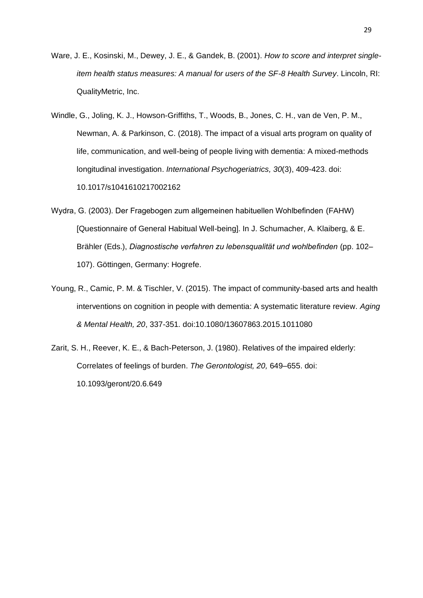- Ware, J. E., Kosinski, M., Dewey, J. E., & Gandek, B. (2001). *How to score and interpret singleitem health status measures: A manual for users of the SF-8 Health Survey*. Lincoln, RI: QualityMetric, Inc.
- Windle, G., Joling, K. J., Howson-Griffiths, T., Woods, B., Jones, C. H., van de Ven, P. M., Newman, A. & Parkinson, C. (2018). The impact of a visual arts program on quality of life, communication, and well-being of people living with dementia: A mixed-methods longitudinal investigation. *International Psychogeriatrics, 30*(3), 409-423. doi: 10.1017/s1041610217002162
- Wydra, G. (2003). Der Fragebogen zum allgemeinen habituellen Wohlbefinden (FAHW) [Questionnaire of General Habitual Well-being]. In J. Schumacher, A. Klaiberg, & E. Brähler (Eds.), *Diagnostische verfahren zu lebensqualität und wohlbefinden* (pp. 102– 107). Göttingen, Germany: Hogrefe.
- Young, R., Camic, P. M. & Tischler, V. (2015). The impact of community-based arts and health interventions on cognition in people with dementia: A systematic literature review. *Aging & Mental Health, 20*, 337-351*.* doi:10.1080/13607863.2015.1011080
- Zarit, S. H., Reever, K. E., & Bach-Peterson, J. (1980). Relatives of the impaired elderly: Correlates of feelings of burden. *The Gerontologist, 20,* 649–655. doi: 10.1093/geront/20.6.649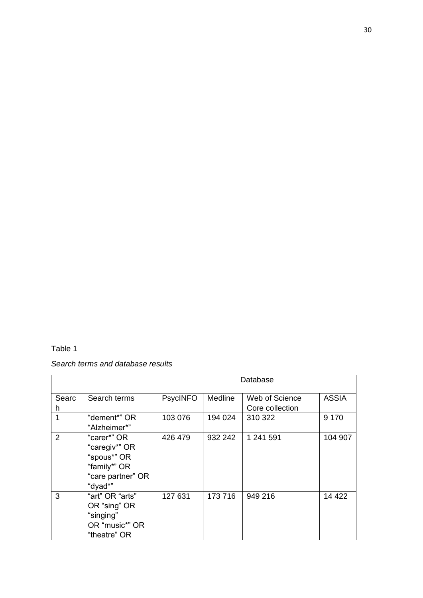# Table 1

# *Search terms and database results*

|            |                                                                                             | Database        |                |                                   |              |  |  |
|------------|---------------------------------------------------------------------------------------------|-----------------|----------------|-----------------------------------|--------------|--|--|
| Searc<br>h | Search terms                                                                                | <b>PsycINFO</b> | <b>Medline</b> | Web of Science<br>Core collection | <b>ASSIA</b> |  |  |
| 1          | "dement*" OR<br>"Alzheimer*"                                                                | 103 076         | 194 024        | 310 322                           | 9 1 7 0      |  |  |
| 2          | "carer*" OR<br>"caregiv*" OR<br>"spous*" OR<br>"family*" OR<br>"care partner" OR<br>"dyad*" | 426 479         | 932 242        | 1 241 591                         | 104 907      |  |  |
| 3          | "art" OR "arts"<br>OR "sing" OR<br>"singing"<br>OR "music*" OR<br>"theatre" OR              | 127 631         | 173 716        | 949 216                           | 14 4 22      |  |  |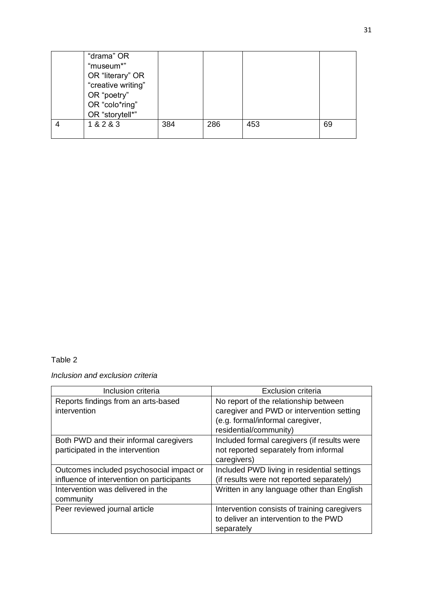| "drama" OR         |     |     |     |    |
|--------------------|-----|-----|-----|----|
| "museum*"          |     |     |     |    |
| OR "literary" OR   |     |     |     |    |
| "creative writing" |     |     |     |    |
| OR "poetry"        |     |     |     |    |
| OR "colo*ring"     |     |     |     |    |
| OR "storytell*"    |     |     |     |    |
| 1 & 2 & 3          | 384 | 286 | 453 | 69 |
|                    |     |     |     |    |

# Table 2

*Inclusion and exclusion criteria*

| Inclusion criteria                        | Exclusion criteria                           |
|-------------------------------------------|----------------------------------------------|
| Reports findings from an arts-based       | No report of the relationship between        |
| intervention                              | caregiver and PWD or intervention setting    |
|                                           | (e.g. formal/informal caregiver,             |
|                                           | residential/community)                       |
| Both PWD and their informal caregivers    | Included formal caregivers (if results were  |
| participated in the intervention          | not reported separately from informal        |
|                                           | caregivers)                                  |
| Outcomes included psychosocial impact or  | Included PWD living in residential settings  |
| influence of intervention on participants | (if results were not reported separately)    |
| Intervention was delivered in the         | Written in any language other than English   |
| community                                 |                                              |
| Peer reviewed journal article             | Intervention consists of training caregivers |
|                                           | to deliver an intervention to the PWD        |
|                                           | separately                                   |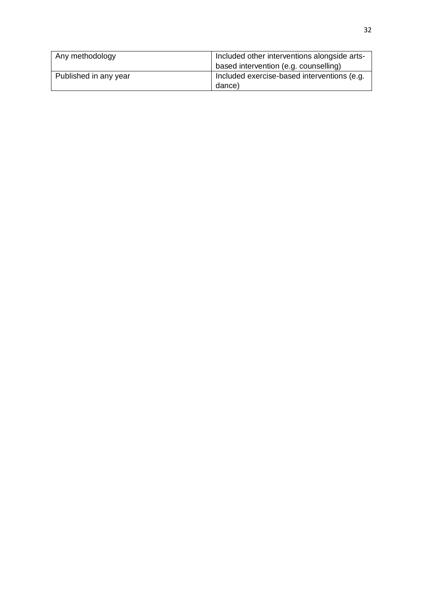| Any methodology       | Included other interventions alongside arts-<br>based intervention (e.g. counselling) |
|-----------------------|---------------------------------------------------------------------------------------|
| Published in any year | Included exercise-based interventions (e.g.<br>dance)                                 |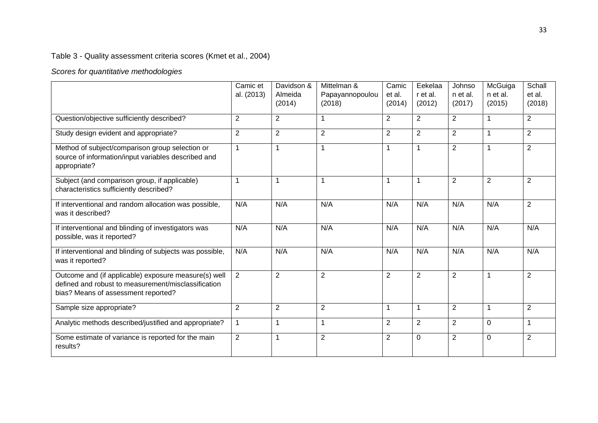# Table 3 - Quality assessment criteria scores (Kmet et al., 2004)

# *Scores for quantitative methodologies*

|                                                                                                                                                    | Camic et<br>al. (2013) | Davidson &<br>Almeida<br>(2014) | Mittelman &<br>Papayannopoulou<br>(2018) | Camic<br>et al.<br>(2014) | Eekelaa<br>r et al.<br>(2012) | Johnso<br>n et al.<br>(2017) | McGuiga<br>n et al.<br>(2015) | Schall<br>et al.<br>(2018) |
|----------------------------------------------------------------------------------------------------------------------------------------------------|------------------------|---------------------------------|------------------------------------------|---------------------------|-------------------------------|------------------------------|-------------------------------|----------------------------|
| Question/objective sufficiently described?                                                                                                         | $\overline{2}$         | $\overline{2}$                  | $\mathbf{1}$                             | $\overline{2}$            | $\overline{2}$                | $\overline{2}$               | 1                             | $\overline{2}$             |
| Study design evident and appropriate?                                                                                                              | $\overline{2}$         | $\overline{2}$                  | $\overline{2}$                           | $\overline{2}$            | $\overline{2}$                | 2                            | $\mathbf 1$                   | $\overline{2}$             |
| Method of subject/comparison group selection or<br>source of information/input variables described and<br>appropriate?                             | $\mathbf{1}$           | $\mathbf{1}$                    | $\overline{1}$                           |                           | $\overline{1}$                | 2                            | -1                            | $\overline{2}$             |
| Subject (and comparison group, if applicable)<br>characteristics sufficiently described?                                                           | 1                      | 1                               | $\mathbf 1$                              |                           | -1                            | 2                            | $\overline{2}$                | $\overline{2}$             |
| If interventional and random allocation was possible,<br>was it described?                                                                         | N/A                    | N/A                             | N/A                                      | N/A                       | N/A                           | N/A                          | N/A                           | $\overline{2}$             |
| If interventional and blinding of investigators was<br>possible, was it reported?                                                                  | N/A                    | N/A                             | N/A                                      | N/A                       | N/A                           | N/A                          | N/A                           | N/A                        |
| If interventional and blinding of subjects was possible,<br>was it reported?                                                                       | N/A                    | N/A                             | N/A                                      | N/A                       | N/A                           | N/A                          | N/A                           | N/A                        |
| Outcome and (if applicable) exposure measure(s) well<br>defined and robust to measurement/misclassification<br>bias? Means of assessment reported? | $\overline{2}$         | $\overline{2}$                  | 2                                        | $\overline{2}$            | $\overline{2}$                | 2                            | $\overline{1}$                | $\overline{2}$             |
| Sample size appropriate?                                                                                                                           | $\overline{2}$         | 2                               | $\overline{2}$                           | $\mathbf 1$               | $\overline{1}$                | 2                            | $\mathbf 1$                   | $\overline{2}$             |
| Analytic methods described/justified and appropriate?                                                                                              | 1                      | 1                               | $\mathbf{1}$                             | $\overline{2}$            | 2                             | 2                            | $\Omega$                      | 1                          |
| Some estimate of variance is reported for the main<br>results?                                                                                     | $\overline{2}$         | 1                               | $\overline{2}$                           | $\overline{2}$            | $\Omega$                      | 2                            | $\Omega$                      | $\overline{2}$             |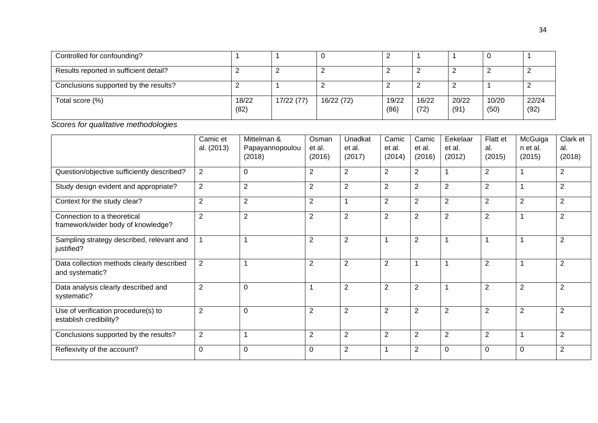| Controlled for confounding?            |               |            |            |               |               |               |               |               |
|----------------------------------------|---------------|------------|------------|---------------|---------------|---------------|---------------|---------------|
| Results reported in sufficient detail? |               |            |            |               |               |               |               |               |
| Conclusions supported by the results?  |               |            |            |               |               |               |               |               |
| Total score (%)                        | 18/22<br>(82) | 17/22 (77) | 16/22 (72) | 19/22<br>(86) | 16/22<br>(72) | 20/22<br>(91) | 10/20<br>(50) | 22/24<br>(92) |

*Scores for qualitative methodologies*

|                                                                   | Camic et<br>al. (2013) | Mittelman &<br>Papayannopoulou<br>(2018) | Osman<br>et al.<br>(2016) | Unadkat<br>et al.<br>(2017) | Camic<br>et al.<br>(2014) | Camic<br>et al.<br>(2016) | Eekelaar<br>et al.<br>(2012) | Flatt et<br>al.<br>(2015) | McGuiga<br>n et al.<br>(2015) | Clark et<br>al.<br>(2018) |
|-------------------------------------------------------------------|------------------------|------------------------------------------|---------------------------|-----------------------------|---------------------------|---------------------------|------------------------------|---------------------------|-------------------------------|---------------------------|
| Question/objective sufficiently described?                        | $\overline{2}$         | 0                                        | 2                         | $\overline{2}$              | $\overline{2}$            | $\overline{2}$            | 1                            | $\overline{2}$            |                               | $\overline{2}$            |
| Study design evident and appropriate?                             | $\overline{2}$         | 2                                        | $\overline{2}$            | $\overline{2}$              | $\overline{2}$            | 2                         | $\overline{2}$               | $\overline{2}$            |                               | 2                         |
| Context for the study clear?                                      | $\overline{2}$         | $\overline{2}$                           | $\overline{2}$            |                             | $\overline{2}$            | $\overline{2}$            | $\overline{2}$               | $\overline{2}$            | $\overline{2}$                | $\overline{2}$            |
| Connection to a theoretical<br>framework/wider body of knowledge? | $\overline{2}$         | $\overline{2}$                           | $\overline{2}$            | 2                           | $\overline{2}$            | $\overline{2}$            | $\overline{2}$               | $\overline{2}$            |                               | $\overline{2}$            |
| Sampling strategy described, relevant and<br>justified?           |                        |                                          | $\overline{2}$            | $\overline{2}$              |                           | $\overline{2}$            |                              |                           |                               | $\overline{2}$            |
| Data collection methods clearly described<br>and systematic?      | $\overline{2}$         |                                          | $\overline{2}$            | $\overline{2}$              | $\overline{2}$            |                           |                              | $\overline{2}$            |                               | $\overline{2}$            |
| Data analysis clearly described and<br>systematic?                | $\overline{2}$         | $\Omega$                                 | 1                         | 2                           | $\overline{2}$            | $\overline{2}$            | 1                            | $\overline{2}$            | $\overline{2}$                | $\overline{2}$            |
| Use of verification procedure(s) to<br>establish credibility?     | $\overline{2}$         | $\Omega$                                 | $\overline{2}$            | 2                           | $\overline{2}$            | $\overline{2}$            | $\overline{2}$               | $\overline{2}$            | $\overline{2}$                | $\overline{2}$            |
| Conclusions supported by the results?                             | $\overline{2}$         |                                          | $\overline{2}$            | 2                           | $\overline{2}$            | $\overline{2}$            | $\overline{2}$               | $\overline{2}$            | $\overline{\mathbf{1}}$       | $\overline{2}$            |
| Reflexivity of the account?                                       | 0                      | $\Omega$                                 | 0                         | 2                           |                           | $\overline{2}$            | 0                            | $\Omega$                  | $\mathbf{0}$                  | 2                         |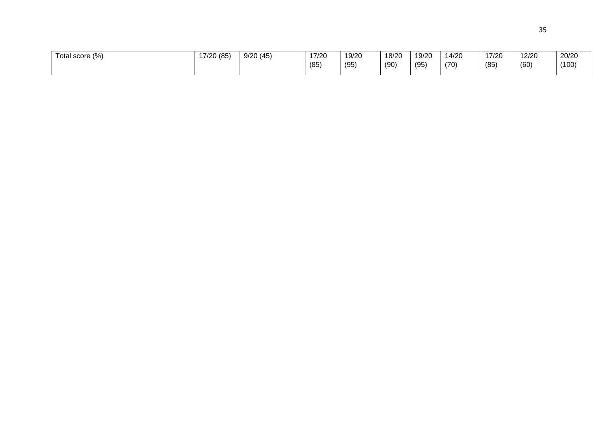| Total score (%) | 17/20 (85) | 9/20(45) | 17/20<br>7720 | 19/20<br>. | 18/20 | 19/20 | 14/20 | 17/20 | 12/20 | 20/20 |
|-----------------|------------|----------|---------------|------------|-------|-------|-------|-------|-------|-------|
|                 |            |          | (85)          | (95)       | (90)  | (95)  | (70)  | (85)  | (60)  | (100) |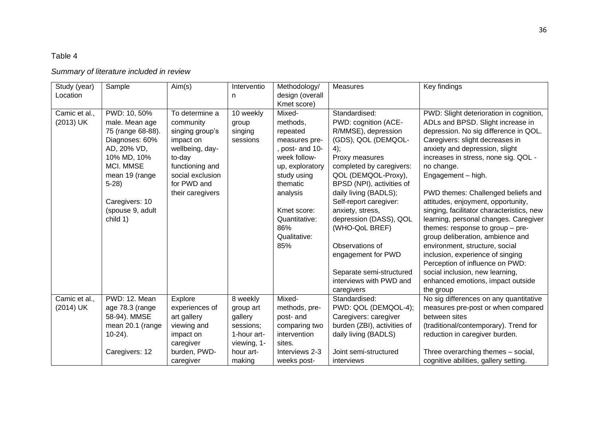# Table 4

# *Summary of literature included in review*

| Study (year)<br>Location   | Sample                                                                                                                                                                                         | Aim(s)                                                                                                                                                             | Interventio<br>n                                                                                   | Methodology/<br>design (overall<br>Kmet score)                                                                                                                                                             | <b>Measures</b>                                                                                                                                                                                                                                                                                                                                                                                                               | Key findings                                                                                                                                                                                                                                                                                                                                                                                                                                                                                                                                                                                                                                                                                                   |
|----------------------------|------------------------------------------------------------------------------------------------------------------------------------------------------------------------------------------------|--------------------------------------------------------------------------------------------------------------------------------------------------------------------|----------------------------------------------------------------------------------------------------|------------------------------------------------------------------------------------------------------------------------------------------------------------------------------------------------------------|-------------------------------------------------------------------------------------------------------------------------------------------------------------------------------------------------------------------------------------------------------------------------------------------------------------------------------------------------------------------------------------------------------------------------------|----------------------------------------------------------------------------------------------------------------------------------------------------------------------------------------------------------------------------------------------------------------------------------------------------------------------------------------------------------------------------------------------------------------------------------------------------------------------------------------------------------------------------------------------------------------------------------------------------------------------------------------------------------------------------------------------------------------|
| Camic et al.,<br>(2013) UK | PWD: 10, 50%<br>male. Mean age<br>75 (range 68-88).<br>Diagnoses: 60%<br>AD, 20% VD,<br>10% MD, 10%<br>MCI. MMSE<br>mean 19 (range<br>$5-28$<br>Caregivers: 10<br>(spouse 9, adult<br>child 1) | To determine a<br>community<br>singing group's<br>impact on<br>wellbeing, day-<br>to-day<br>functioning and<br>social exclusion<br>for PWD and<br>their caregivers | 10 weekly<br>group<br>singing<br>sessions                                                          | Mixed-<br>methods,<br>repeated<br>measures pre-<br>, post- and 10-<br>week follow-<br>up, exploratory<br>study using<br>thematic<br>analysis<br>Kmet score:<br>Quantitative:<br>86%<br>Qualitative:<br>85% | Standardised:<br>PWD: cognition (ACE-<br>R/MMSE), depression<br>(GDS), QOL (DEMQOL-<br>4);<br>Proxy measures<br>completed by caregivers:<br>QOL (DEMQOL-Proxy),<br>BPSD (NPI), activities of<br>daily living (BADLS);<br>Self-report caregiver:<br>anxiety, stress,<br>depression (DASS), QOL<br>(WHO-QoL BREF)<br>Observations of<br>engagement for PWD<br>Separate semi-structured<br>interviews with PWD and<br>caregivers | PWD: Slight deterioration in cognition,<br>ADLs and BPSD. Slight increase in<br>depression. No sig difference in QOL.<br>Caregivers: slight decreases in<br>anxiety and depression, slight<br>increases in stress, none sig. QOL -<br>no change.<br>Engagement - high.<br>PWD themes: Challenged beliefs and<br>attitudes, enjoyment, opportunity,<br>singing, facilitator characteristics, new<br>learning, personal changes. Caregiver<br>themes: response to group - pre-<br>group deliberation, ambience and<br>environment, structure, social<br>inclusion, experience of singing<br>Perception of influence on PWD:<br>social inclusion, new learning,<br>enhanced emotions, impact outside<br>the group |
| Camic et al.,<br>(2014) UK | PWD: 12. Mean<br>age 78.3 (range<br>58-94). MMSE<br>mean 20.1 (range<br>$10-24$ ).<br>Caregivers: 12                                                                                           | Explore<br>experiences of<br>art gallery<br>viewing and<br>impact on<br>caregiver<br>burden, PWD-<br>caregiver                                                     | 8 weekly<br>group art<br>gallery<br>sessions;<br>1-hour art-<br>viewing, 1-<br>hour art-<br>making | Mixed-<br>methods, pre-<br>post- and<br>comparing two<br>intervention<br>sites.<br>Interviews 2-3<br>weeks post-                                                                                           | Standardised:<br>PWD: QOL (DEMQOL-4);<br>Caregivers: caregiver<br>burden (ZBI), activities of<br>daily living (BADLS)<br>Joint semi-structured<br>interviews                                                                                                                                                                                                                                                                  | No sig differences on any quantitative<br>measures pre-post or when compared<br>between sites<br>(traditional/contemporary). Trend for<br>reduction in caregiver burden.<br>Three overarching themes - social,<br>cognitive abilities, gallery setting.                                                                                                                                                                                                                                                                                                                                                                                                                                                        |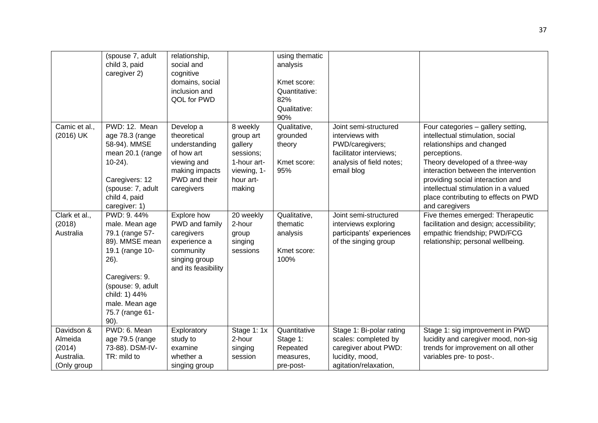|               | (spouse 7, adult  | relationship,       |             | using thematic |                           |                                         |
|---------------|-------------------|---------------------|-------------|----------------|---------------------------|-----------------------------------------|
|               | child 3, paid     | social and          |             | analysis       |                           |                                         |
|               | caregiver 2)      | cognitive           |             |                |                           |                                         |
|               |                   | domains, social     |             | Kmet score:    |                           |                                         |
|               |                   | inclusion and       |             | Quantitative:  |                           |                                         |
|               |                   | QOL for PWD         |             | 82%            |                           |                                         |
|               |                   |                     |             | Qualitative:   |                           |                                         |
|               |                   |                     |             | 90%            |                           |                                         |
| Camic et al., | PWD: 12. Mean     | Develop a           | 8 weekly    | Qualitative,   | Joint semi-structured     | Four categories - gallery setting,      |
| (2016) UK     | age 78.3 (range   | theoretical         | group art   | grounded       | interviews with           | intellectual stimulation, social        |
|               | 58-94). MMSE      | understanding       | gallery     | theory         | PWD/caregivers;           | relationships and changed               |
|               | mean 20.1 (range  | of how art          | sessions;   |                | facilitator interviews;   | perceptions.                            |
|               | $10-24$ ).        | viewing and         | 1-hour art- | Kmet score:    | analysis of field notes;  | Theory developed of a three-way         |
|               |                   | making impacts      | viewing, 1- | 95%            | email blog                | interaction between the intervention    |
|               | Caregivers: 12    | PWD and their       | hour art-   |                |                           | providing social interaction and        |
|               | (spouse: 7, adult | caregivers          | making      |                |                           | intellectual stimulation in a valued    |
|               | child 4, paid     |                     |             |                |                           | place contributing to effects on PWD    |
|               | caregiver: 1)     |                     |             |                |                           | and caregivers                          |
| Clark et al., | PWD: 9.44%        | Explore how         | 20 weekly   | Qualitative,   | Joint semi-structured     | Five themes emerged: Therapeutic        |
| (2018)        | male. Mean age    | PWD and family      | 2-hour      | thematic       | interviews exploring      | facilitation and design; accessibility; |
| Australia     | 79.1 (range 57-   | caregivers          | group       | analysis       | participants' experiences | empathic friendship; PWD/FCG            |
|               | 89). MMSE mean    | experience a        | singing     |                | of the singing group      | relationship; personal wellbeing.       |
|               | 19.1 (range 10-   | community           | sessions    | Kmet score:    |                           |                                         |
|               | $26$ ).           | singing group       |             | 100%           |                           |                                         |
|               |                   | and its feasibility |             |                |                           |                                         |
|               | Caregivers: 9.    |                     |             |                |                           |                                         |
|               | (spouse: 9, adult |                     |             |                |                           |                                         |
|               | child: 1) 44%     |                     |             |                |                           |                                         |
|               |                   |                     |             |                |                           |                                         |
|               | male. Mean age    |                     |             |                |                           |                                         |
|               | 75.7 (range 61-   |                     |             |                |                           |                                         |
|               | 90).              |                     |             |                |                           |                                         |
| Davidson &    | PWD: 6. Mean      | Exploratory         | Stage 1: 1x | Quantitative   | Stage 1: Bi-polar rating  | Stage 1: sig improvement in PWD         |
| Almeida       | age 79.5 (range   | study to            | 2-hour      | Stage 1:       | scales: completed by      | lucidity and caregiver mood, non-sig    |
| (2014)        | 73-88). DSM-IV-   | examine             | singing     | Repeated       | caregiver about PWD:      | trends for improvement on all other     |
| Australia.    | TR: mild to       | whether a           | session     | measures,      | lucidity, mood,           | variables pre- to post-.                |
| (Only group   |                   | singing group       |             | pre-post-      | agitation/relaxation,     |                                         |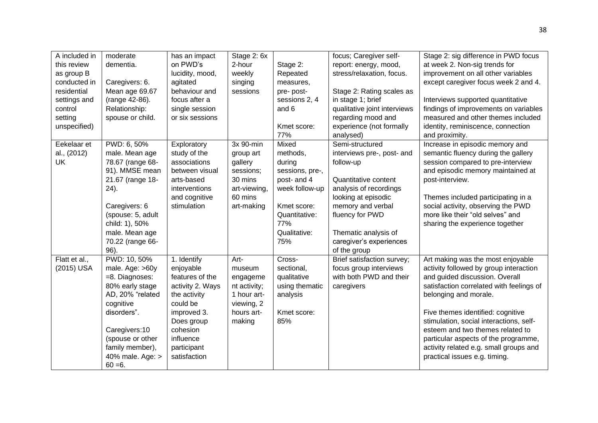| A included in<br>this review<br>as group B<br>conducted in<br>residential<br>settings and<br>control<br>setting<br>unspecified) | moderate<br>dementia.<br>Caregivers: 6.<br>Mean age 69.67<br>(range 42-86).<br>Relationship:<br>spouse or child.                                                                                              | has an impact<br>on PWD's<br>lucidity, mood,<br>agitated<br>behaviour and<br>focus after a<br>single session<br>or six sessions                                                  | Stage 2: 6x<br>2-hour<br>weekly<br>singing<br>sessions                                             | Stage 2:<br>Repeated<br>measures,<br>pre-post-<br>sessions 2, 4<br>and 6<br>Kmet score:<br>77%                                                | focus; Caregiver self-<br>report: energy, mood,<br>stress/relaxation, focus.<br>Stage 2: Rating scales as<br>in stage 1; brief<br>qualitative joint interviews<br>regarding mood and<br>experience (not formally<br>analysed)                         | Stage 2: sig difference in PWD focus<br>at week 2. Non-sig trends for<br>improvement on all other variables<br>except caregiver focus week 2 and 4.<br>Interviews supported quantitative<br>findings of improvements on variables<br>measured and other themes included<br>identity, reminiscence, connection<br>and proximity.                                                                                           |
|---------------------------------------------------------------------------------------------------------------------------------|---------------------------------------------------------------------------------------------------------------------------------------------------------------------------------------------------------------|----------------------------------------------------------------------------------------------------------------------------------------------------------------------------------|----------------------------------------------------------------------------------------------------|-----------------------------------------------------------------------------------------------------------------------------------------------|-------------------------------------------------------------------------------------------------------------------------------------------------------------------------------------------------------------------------------------------------------|---------------------------------------------------------------------------------------------------------------------------------------------------------------------------------------------------------------------------------------------------------------------------------------------------------------------------------------------------------------------------------------------------------------------------|
| Eekelaar et<br>al., (2012)<br>UK                                                                                                | PWD: 6, 50%<br>male. Mean age<br>78.67 (range 68-<br>91). MMSE mean<br>21.67 (range 18-<br>24).<br>Caregivers: 6<br>(spouse: 5, adult<br>child: 1), 50%<br>male. Mean age<br>70.22 (range 66-<br>96).         | Exploratory<br>study of the<br>associations<br>between visual<br>arts-based<br>interventions<br>and cognitive<br>stimulation                                                     | 3x 90-min<br>group art<br>gallery<br>sessions;<br>30 mins<br>art-viewing,<br>60 mins<br>art-making | Mixed<br>methods,<br>during<br>sessions, pre-,<br>post- and 4<br>week follow-up<br>Kmet score:<br>Quantitative:<br>77%<br>Qualitative:<br>75% | Semi-structured<br>interviews pre-, post- and<br>follow-up<br><b>Quantitative content</b><br>analysis of recordings<br>looking at episodic<br>memory and verbal<br>fluency for PWD<br>Thematic analysis of<br>caregiver's experiences<br>of the group | Increase in episodic memory and<br>semantic fluency during the gallery<br>session compared to pre-interview<br>and episodic memory maintained at<br>post-interview.<br>Themes included participating in a<br>social activity, observing the PWD<br>more like their "old selves" and<br>sharing the experience together                                                                                                    |
| Flatt et al.,<br>(2015) USA                                                                                                     | PWD: 10, 50%<br>male. Age: >60y<br>=8. Diagnoses:<br>80% early stage<br>AD, 20% "related<br>cognitive<br>disorders".<br>Caregivers:10<br>(spouse or other<br>family member),<br>40% male. Age: ><br>$60 = 6.$ | 1. Identify<br>enjoyable<br>features of the<br>activity 2. Ways<br>the activity<br>could be<br>improved 3.<br>Does group<br>cohesion<br>influence<br>participant<br>satisfaction | Art-<br>museum<br>engageme<br>nt activity;<br>1 hour art-<br>viewing, 2<br>hours art-<br>making    | Cross-<br>sectional,<br>qualitative<br>using thematic<br>analysis<br>Kmet score:<br>85%                                                       | Brief satisfaction survey;<br>focus group interviews<br>with both PWD and their<br>caregivers                                                                                                                                                         | Art making was the most enjoyable<br>activity followed by group interaction<br>and guided discussion. Overall<br>satisfaction correlated with feelings of<br>belonging and morale.<br>Five themes identified: cognitive<br>stimulation, social interactions, self-<br>esteem and two themes related to<br>particular aspects of the programme,<br>activity related e.g. small groups and<br>practical issues e.g. timing. |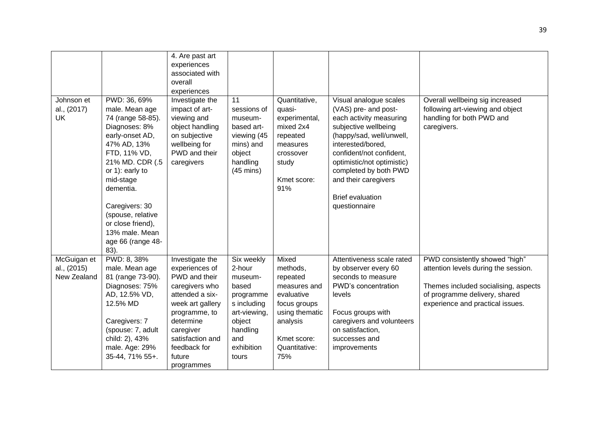| 4. Are past art<br>experiences<br>associated with<br>overall<br>experiences<br>PWD: 36, 69%<br>Johnson et<br>Investigate the<br>11<br>Quantitative,<br>Visual analogue scales<br>Overall wellbeing sig increased<br>al., (2017)<br>male. Mean age<br>impact of art-<br>(VAS) pre- and post-<br>following art-viewing and object<br>quasi-<br>sessions of<br>handling for both PWD and<br>UK<br>74 (range 58-85).<br>viewing and<br>each activity measuring<br>experimental,<br>museum-<br>Diagnoses: 8%<br>object handling<br>mixed 2x4<br>subjective wellbeing<br>based art-<br>caregivers.<br>early-onset AD,<br>on subjective<br>(happy/sad, well/unwell,<br>viewing (45<br>repeated<br>47% AD, 13%<br>wellbeing for<br>mins) and<br>interested/bored,<br>measures<br>PWD and their<br>FTD, 11% VD,<br>confident/not confident,<br>object<br>crossover<br>21% MD. CDR (.5<br>optimistic/not optimistic)<br>caregivers<br>handling<br>study<br>or 1): early to<br>$(45 \text{ mins})$<br>completed by both PWD<br>and their caregivers<br>mid-stage<br>Kmet score:<br>91%<br>dementia.<br><b>Brief evaluation</b><br>Caregivers: 30<br>questionnaire<br>(spouse, relative<br>or close friend),<br>13% male. Mean |  |  |  |  |
|--------------------------------------------------------------------------------------------------------------------------------------------------------------------------------------------------------------------------------------------------------------------------------------------------------------------------------------------------------------------------------------------------------------------------------------------------------------------------------------------------------------------------------------------------------------------------------------------------------------------------------------------------------------------------------------------------------------------------------------------------------------------------------------------------------------------------------------------------------------------------------------------------------------------------------------------------------------------------------------------------------------------------------------------------------------------------------------------------------------------------------------------------------------------------------------------------------------------|--|--|--|--|
|                                                                                                                                                                                                                                                                                                                                                                                                                                                                                                                                                                                                                                                                                                                                                                                                                                                                                                                                                                                                                                                                                                                                                                                                                    |  |  |  |  |
|                                                                                                                                                                                                                                                                                                                                                                                                                                                                                                                                                                                                                                                                                                                                                                                                                                                                                                                                                                                                                                                                                                                                                                                                                    |  |  |  |  |
|                                                                                                                                                                                                                                                                                                                                                                                                                                                                                                                                                                                                                                                                                                                                                                                                                                                                                                                                                                                                                                                                                                                                                                                                                    |  |  |  |  |
|                                                                                                                                                                                                                                                                                                                                                                                                                                                                                                                                                                                                                                                                                                                                                                                                                                                                                                                                                                                                                                                                                                                                                                                                                    |  |  |  |  |
|                                                                                                                                                                                                                                                                                                                                                                                                                                                                                                                                                                                                                                                                                                                                                                                                                                                                                                                                                                                                                                                                                                                                                                                                                    |  |  |  |  |
|                                                                                                                                                                                                                                                                                                                                                                                                                                                                                                                                                                                                                                                                                                                                                                                                                                                                                                                                                                                                                                                                                                                                                                                                                    |  |  |  |  |
|                                                                                                                                                                                                                                                                                                                                                                                                                                                                                                                                                                                                                                                                                                                                                                                                                                                                                                                                                                                                                                                                                                                                                                                                                    |  |  |  |  |
|                                                                                                                                                                                                                                                                                                                                                                                                                                                                                                                                                                                                                                                                                                                                                                                                                                                                                                                                                                                                                                                                                                                                                                                                                    |  |  |  |  |
|                                                                                                                                                                                                                                                                                                                                                                                                                                                                                                                                                                                                                                                                                                                                                                                                                                                                                                                                                                                                                                                                                                                                                                                                                    |  |  |  |  |
|                                                                                                                                                                                                                                                                                                                                                                                                                                                                                                                                                                                                                                                                                                                                                                                                                                                                                                                                                                                                                                                                                                                                                                                                                    |  |  |  |  |
|                                                                                                                                                                                                                                                                                                                                                                                                                                                                                                                                                                                                                                                                                                                                                                                                                                                                                                                                                                                                                                                                                                                                                                                                                    |  |  |  |  |
|                                                                                                                                                                                                                                                                                                                                                                                                                                                                                                                                                                                                                                                                                                                                                                                                                                                                                                                                                                                                                                                                                                                                                                                                                    |  |  |  |  |
|                                                                                                                                                                                                                                                                                                                                                                                                                                                                                                                                                                                                                                                                                                                                                                                                                                                                                                                                                                                                                                                                                                                                                                                                                    |  |  |  |  |
|                                                                                                                                                                                                                                                                                                                                                                                                                                                                                                                                                                                                                                                                                                                                                                                                                                                                                                                                                                                                                                                                                                                                                                                                                    |  |  |  |  |
|                                                                                                                                                                                                                                                                                                                                                                                                                                                                                                                                                                                                                                                                                                                                                                                                                                                                                                                                                                                                                                                                                                                                                                                                                    |  |  |  |  |
|                                                                                                                                                                                                                                                                                                                                                                                                                                                                                                                                                                                                                                                                                                                                                                                                                                                                                                                                                                                                                                                                                                                                                                                                                    |  |  |  |  |
|                                                                                                                                                                                                                                                                                                                                                                                                                                                                                                                                                                                                                                                                                                                                                                                                                                                                                                                                                                                                                                                                                                                                                                                                                    |  |  |  |  |
|                                                                                                                                                                                                                                                                                                                                                                                                                                                                                                                                                                                                                                                                                                                                                                                                                                                                                                                                                                                                                                                                                                                                                                                                                    |  |  |  |  |
|                                                                                                                                                                                                                                                                                                                                                                                                                                                                                                                                                                                                                                                                                                                                                                                                                                                                                                                                                                                                                                                                                                                                                                                                                    |  |  |  |  |
|                                                                                                                                                                                                                                                                                                                                                                                                                                                                                                                                                                                                                                                                                                                                                                                                                                                                                                                                                                                                                                                                                                                                                                                                                    |  |  |  |  |
| age 66 (range 48-                                                                                                                                                                                                                                                                                                                                                                                                                                                                                                                                                                                                                                                                                                                                                                                                                                                                                                                                                                                                                                                                                                                                                                                                  |  |  |  |  |
| 83).                                                                                                                                                                                                                                                                                                                                                                                                                                                                                                                                                                                                                                                                                                                                                                                                                                                                                                                                                                                                                                                                                                                                                                                                               |  |  |  |  |
| PWD: 8, 38%<br>McGuigan et<br>Mixed<br>PWD consistently showed "high"<br>Investigate the<br>Six weekly<br>Attentiveness scale rated                                                                                                                                                                                                                                                                                                                                                                                                                                                                                                                                                                                                                                                                                                                                                                                                                                                                                                                                                                                                                                                                                |  |  |  |  |
| al., (2015)<br>male. Mean age<br>experiences of<br>2-hour<br>methods,<br>by observer every 60<br>attention levels during the session.                                                                                                                                                                                                                                                                                                                                                                                                                                                                                                                                                                                                                                                                                                                                                                                                                                                                                                                                                                                                                                                                              |  |  |  |  |
| New Zealand<br>PWD and their<br>seconds to measure<br>81 (range 73-90).<br>repeated<br>museum-                                                                                                                                                                                                                                                                                                                                                                                                                                                                                                                                                                                                                                                                                                                                                                                                                                                                                                                                                                                                                                                                                                                     |  |  |  |  |
| Diagnoses: 75%<br>PWD's concentration<br>caregivers who<br>based<br>Themes included socialising, aspects<br>measures and                                                                                                                                                                                                                                                                                                                                                                                                                                                                                                                                                                                                                                                                                                                                                                                                                                                                                                                                                                                                                                                                                           |  |  |  |  |
| AD, 12.5% VD,<br>of programme delivery, shared<br>attended a six-<br>evaluative<br>levels<br>programme                                                                                                                                                                                                                                                                                                                                                                                                                                                                                                                                                                                                                                                                                                                                                                                                                                                                                                                                                                                                                                                                                                             |  |  |  |  |
| 12.5% MD<br>week art gallery<br>experience and practical issues.<br>s including<br>focus groups                                                                                                                                                                                                                                                                                                                                                                                                                                                                                                                                                                                                                                                                                                                                                                                                                                                                                                                                                                                                                                                                                                                    |  |  |  |  |
| using thematic<br>Focus groups with<br>programme, to<br>art-viewing,                                                                                                                                                                                                                                                                                                                                                                                                                                                                                                                                                                                                                                                                                                                                                                                                                                                                                                                                                                                                                                                                                                                                               |  |  |  |  |
| Caregivers: 7<br>determine<br>analysis<br>caregivers and volunteers<br>object                                                                                                                                                                                                                                                                                                                                                                                                                                                                                                                                                                                                                                                                                                                                                                                                                                                                                                                                                                                                                                                                                                                                      |  |  |  |  |
| (spouse: 7, adult<br>caregiver<br>handling<br>on satisfaction,                                                                                                                                                                                                                                                                                                                                                                                                                                                                                                                                                                                                                                                                                                                                                                                                                                                                                                                                                                                                                                                                                                                                                     |  |  |  |  |
| child: 2), 43%<br>satisfaction and<br>and<br>Kmet score:<br>successes and                                                                                                                                                                                                                                                                                                                                                                                                                                                                                                                                                                                                                                                                                                                                                                                                                                                                                                                                                                                                                                                                                                                                          |  |  |  |  |
| male. Age: 29%<br>feedback for<br>exhibition<br>Quantitative:<br>improvements                                                                                                                                                                                                                                                                                                                                                                                                                                                                                                                                                                                                                                                                                                                                                                                                                                                                                                                                                                                                                                                                                                                                      |  |  |  |  |
| 35-44, 71% 55+.<br>75%<br>future<br>tours                                                                                                                                                                                                                                                                                                                                                                                                                                                                                                                                                                                                                                                                                                                                                                                                                                                                                                                                                                                                                                                                                                                                                                          |  |  |  |  |
| programmes                                                                                                                                                                                                                                                                                                                                                                                                                                                                                                                                                                                                                                                                                                                                                                                                                                                                                                                                                                                                                                                                                                                                                                                                         |  |  |  |  |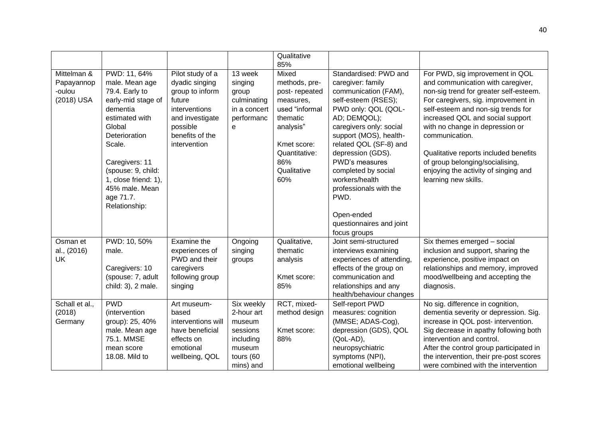|                                                   |                                                                                                                                                                                                                                                           |                                                                                                                                                    |                                                                                                 | Qualitative<br>85%                                                                                                                                           |                                                                                                                                                                                                                                                                                                                                                 |                                                                                                                                                                                                                                                                                                                                                                                                                                  |
|---------------------------------------------------|-----------------------------------------------------------------------------------------------------------------------------------------------------------------------------------------------------------------------------------------------------------|----------------------------------------------------------------------------------------------------------------------------------------------------|-------------------------------------------------------------------------------------------------|--------------------------------------------------------------------------------------------------------------------------------------------------------------|-------------------------------------------------------------------------------------------------------------------------------------------------------------------------------------------------------------------------------------------------------------------------------------------------------------------------------------------------|----------------------------------------------------------------------------------------------------------------------------------------------------------------------------------------------------------------------------------------------------------------------------------------------------------------------------------------------------------------------------------------------------------------------------------|
| Mittelman &<br>Papayannop<br>-oulou<br>(2018) USA | PWD: 11, 64%<br>male. Mean age<br>79.4. Early to<br>early-mid stage of<br>dementia<br>estimated with<br>Global<br>Deterioration<br>Scale.<br>Caregivers: 11<br>(spouse: 9, child:<br>1, close friend: 1),<br>45% male. Mean<br>age 71.7.<br>Relationship: | Pilot study of a<br>dyadic singing<br>group to inform<br>future<br>interventions<br>and investigate<br>possible<br>benefits of the<br>intervention | 13 week<br>singing<br>group<br>culminating<br>in a concert<br>performanc<br>e                   | Mixed<br>methods, pre-<br>post-repeated<br>measures,<br>used "informal<br>thematic<br>analysis"<br>Kmet score:<br>Quantitative:<br>86%<br>Qualitative<br>60% | Standardised: PWD and<br>caregiver: family<br>communication (FAM),<br>self-esteem (RSES);<br>PWD only: QOL (QOL-<br>AD; DEMQOL);<br>caregivers only: social<br>support (MOS), health-<br>related QOL (SF-8) and<br>depression (GDS).<br>PWD's measures<br>completed by social<br>workers/health<br>professionals with the<br>PWD.<br>Open-ended | For PWD, sig improvement in QOL<br>and communication with caregiver,<br>non-sig trend for greater self-esteem.<br>For caregivers, sig. improvement in<br>self-esteem and non-sig trends for<br>increased QOL and social support<br>with no change in depression or<br>communication.<br>Qualitative reports included benefits<br>of group belonging/socialising,<br>enjoying the activity of singing and<br>learning new skills. |
|                                                   |                                                                                                                                                                                                                                                           |                                                                                                                                                    |                                                                                                 |                                                                                                                                                              | questionnaires and joint<br>focus groups                                                                                                                                                                                                                                                                                                        |                                                                                                                                                                                                                                                                                                                                                                                                                                  |
| Osman et<br>al., (2016)<br>UK                     | PWD: 10, 50%<br>male.<br>Caregivers: 10<br>(spouse: 7, adult<br>child: 3), 2 male.                                                                                                                                                                        | Examine the<br>experiences of<br>PWD and their<br>caregivers<br>following group<br>singing                                                         | Ongoing<br>singing<br>groups                                                                    | Qualitative,<br>thematic<br>analysis<br>Kmet score:<br>85%                                                                                                   | Joint semi-structured<br>interviews examining<br>experiences of attending,<br>effects of the group on<br>communication and<br>relationships and any<br>health/behaviour changes                                                                                                                                                                 | Six themes emerged - social<br>inclusion and support, sharing the<br>experience, positive impact on<br>relationships and memory, improved<br>mood/wellbeing and accepting the<br>diagnosis.                                                                                                                                                                                                                                      |
| Schall et al.,<br>(2018)<br>Germany               | <b>PWD</b><br>(intervention<br>group): 25, 40%<br>male. Mean age<br>75.1. MMSE<br>mean score<br>18.08. Mild to                                                                                                                                            | Art museum-<br>based<br>interventions will<br>have beneficial<br>effects on<br>emotional<br>wellbeing, QOL                                         | Six weekly<br>2-hour art<br>museum<br>sessions<br>including<br>museum<br>tours (60<br>mins) and | RCT, mixed-<br>method design<br>Kmet score:<br>88%                                                                                                           | Self-report PWD<br>measures: cognition<br>(MMSE; ADAS-Cog),<br>depression (GDS), QOL<br>(QoL-AD),<br>neuropsychiatric<br>symptoms (NPI),<br>emotional wellbeing                                                                                                                                                                                 | No sig. difference in cognition,<br>dementia severity or depression. Sig.<br>increase in QOL post- intervention.<br>Sig decrease in apathy following both<br>intervention and control.<br>After the control group participated in<br>the intervention, their pre-post scores<br>were combined with the intervention                                                                                                              |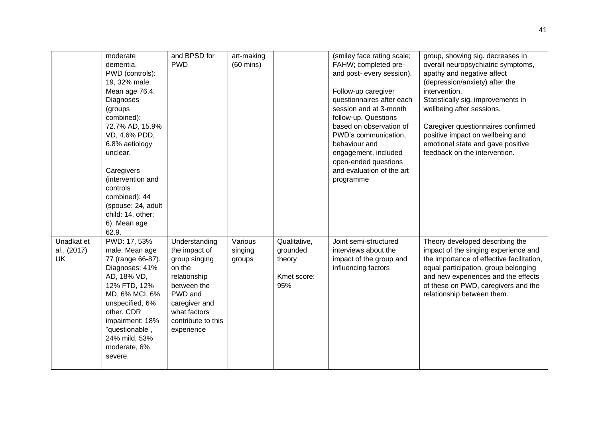|                                        | moderate<br>dementia.<br>PWD (controls):<br>19, 32% male.<br>Mean age 76.4.<br>Diagnoses<br>(groups)<br>combined):<br>72.7% AD, 15.9%<br>VD, 4.6% PDD,<br>6.8% aetiology<br>unclear.<br>Caregivers<br>(intervention and<br>controls<br>combined): 44<br>(spouse: 24, adult<br>child: 14, other:<br>6). Mean age<br>62.9. | and BPSD for<br><b>PWD</b>                                                                                                                                               | art-making<br>$(60 \text{ mins})$ |                                                          | (smiley face rating scale;<br>FAHW; completed pre-<br>and post- every session).<br>Follow-up caregiver<br>questionnaires after each<br>session and at 3-month<br>follow-up. Questions<br>based on observation of<br>PWD's communication,<br>behaviour and<br>engagement, included<br>open-ended questions<br>and evaluation of the art<br>programme | group, showing sig. decreases in<br>overall neuropsychiatric symptoms,<br>apathy and negative affect<br>(depression/anxiety) after the<br>intervention.<br>Statistically sig. improvements in<br>wellbeing after sessions.<br>Caregiver questionnaires confirmed<br>positive impact on wellbeing and<br>emotional state and gave positive<br>feedback on the intervention. |
|----------------------------------------|--------------------------------------------------------------------------------------------------------------------------------------------------------------------------------------------------------------------------------------------------------------------------------------------------------------------------|--------------------------------------------------------------------------------------------------------------------------------------------------------------------------|-----------------------------------|----------------------------------------------------------|-----------------------------------------------------------------------------------------------------------------------------------------------------------------------------------------------------------------------------------------------------------------------------------------------------------------------------------------------------|----------------------------------------------------------------------------------------------------------------------------------------------------------------------------------------------------------------------------------------------------------------------------------------------------------------------------------------------------------------------------|
| Unadkat et<br>al., (2017)<br><b>UK</b> | PWD: 17, 53%<br>male. Mean age<br>77 (range 66-87).<br>Diagnoses: 41%<br>AD, 18% VD,<br>12% FTD, 12%<br>MD, 6% MCI, 6%<br>unspecified, 6%<br>other. CDR<br>impairment: 18%<br>"questionable",<br>24% mild, 53%<br>moderate, 6%<br>severe.                                                                                | Understanding<br>the impact of<br>group singing<br>on the<br>relationship<br>between the<br>PWD and<br>caregiver and<br>what factors<br>contribute to this<br>experience | Various<br>singing<br>groups      | Qualitative,<br>grounded<br>theory<br>Kmet score:<br>95% | Joint semi-structured<br>interviews about the<br>impact of the group and<br>influencing factors                                                                                                                                                                                                                                                     | Theory developed describing the<br>impact of the singing experience and<br>the importance of effective facilitation,<br>equal participation, group belonging<br>and new experiences and the effects<br>of these on PWD, caregivers and the<br>relationship between them.                                                                                                   |